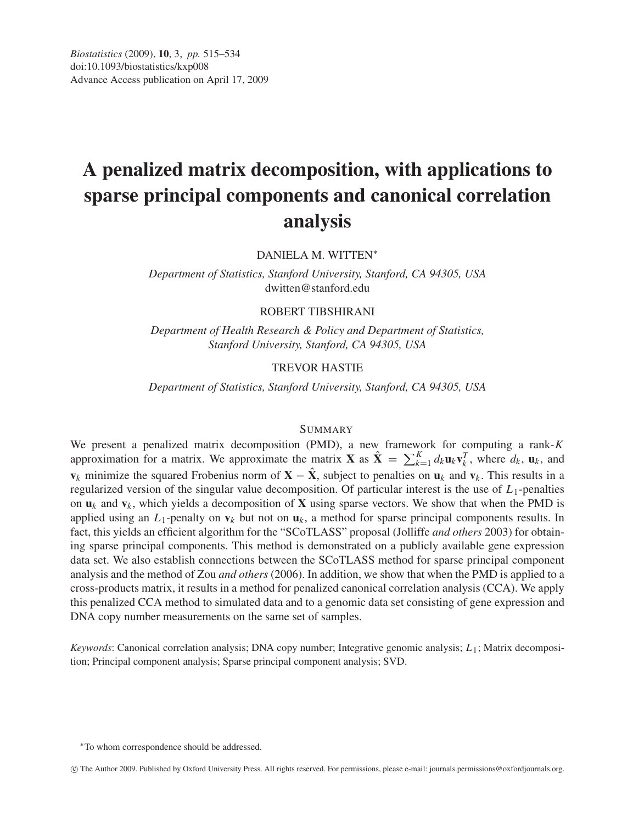# **A penalized matrix decomposition, with applications to sparse principal components and canonical correlation analysis**

DANIELA M. WITTEN∗

*Department of Statistics, Stanford University, Stanford, CA 94305, USA* dwitten@stanford.edu

# ROBERT TIBSHIRANI

*Department of Health Research & Policy and Department of Statistics, Stanford University, Stanford, CA 94305, USA*

# TREVOR HASTIE

*Department of Statistics, Stanford University, Stanford, CA 94305, USA*

# SUMMARY

We present a penalized matrix decomposition (PMD), a new framework for computing a rank-*K* approximation for a matrix. We approximate the matrix **X** as  $\hat{\mathbf{X}} = \sum_{k=1}^{K} d_k \mathbf{u}_k \mathbf{v}_k^T$ , where  $d_k$ ,  $\mathbf{u}_k$ , and **v**<sub>*k*</sub> minimize the squared Frobenius norm of  $X - \hat{X}$ , subject to penalties on  $u_k$  and  $v_k$ . This results in a regularized version of the singular value decomposition. Of particular interest is the use of *L*1-penalties on  $\mathbf{u}_k$  and  $\mathbf{v}_k$ , which yields a decomposition of **X** using sparse vectors. We show that when the PMD is applied using an  $L_1$ -penalty on  $\mathbf{v}_k$  but not on  $\mathbf{u}_k$ , a method for sparse principal components results. In fact, this yields an efficient algorithm for the "SCoTLASS" proposal (Jolliffe *and others* 2003) for obtaining sparse principal components. This method is demonstrated on a publicly available gene expression data set. We also establish connections between the SCoTLASS method for sparse principal component analysis and the method of Zou *and others* (2006). In addition, we show that when the PMD is applied to a cross-products matrix, it results in a method for penalized canonical correlation analysis (CCA). We apply this penalized CCA method to simulated data and to a genomic data set consisting of gene expression and DNA copy number measurements on the same set of samples.

*Keywords*: Canonical correlation analysis; DNA copy number; Integrative genomic analysis; *L*1; Matrix decomposition; Principal component analysis; Sparse principal component analysis; SVD.

-c The Author 2009. Published by Oxford University Press. All rights reserved. For permissions, please e-mail: journals.permissions@oxfordjournals.org.

<sup>∗</sup>To whom correspondence should be addressed.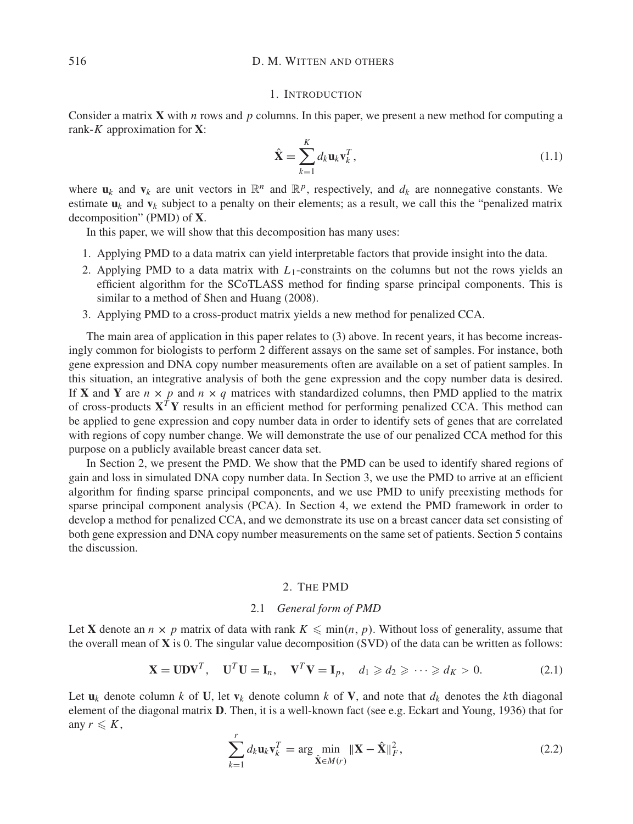#### 1. INTRODUCTION

Consider a matrix **X** with *n* rows and *p* columns. In this paper, we present a new method for computing a rank-*K* approximation for **X**:

$$
\hat{\mathbf{X}} = \sum_{k=1}^{K} d_k \mathbf{u}_k \mathbf{v}_k^T,
$$
\n(1.1)

where  $\mathbf{u}_k$  and  $\mathbf{v}_k$  are unit vectors in  $\mathbb{R}^n$  and  $\mathbb{R}^p$ , respectively, and  $d_k$  are nonnegative constants. We estimate  $\mathbf{u}_k$  and  $\mathbf{v}_k$  subject to a penalty on their elements; as a result, we call this the "penalized matrix decomposition" (PMD) of **X**.

In this paper, we will show that this decomposition has many uses:

- 1. Applying PMD to a data matrix can yield interpretable factors that provide insight into the data.
- 2. Applying PMD to a data matrix with *L*1-constraints on the columns but not the rows yields an efficient algorithm for the SCoTLASS method for finding sparse principal components. This is similar to a method of Shen and Huang (2008).
- 3. Applying PMD to a cross-product matrix yields a new method for penalized CCA.

The main area of application in this paper relates to (3) above. In recent years, it has become increasingly common for biologists to perform 2 different assays on the same set of samples. For instance, both gene expression and DNA copy number measurements often are available on a set of patient samples. In this situation, an integrative analysis of both the gene expression and the copy number data is desired. If **X** and **Y** are  $n \times p$  and  $n \times q$  matrices with standardized columns, then PMD applied to the matrix of cross-products **X***<sup>T</sup>* **Y** results in an efficient method for performing penalized CCA. This method can be applied to gene expression and copy number data in order to identify sets of genes that are correlated with regions of copy number change. We will demonstrate the use of our penalized CCA method for this purpose on a publicly available breast cancer data set.

In Section 2, we present the PMD. We show that the PMD can be used to identify shared regions of gain and loss in simulated DNA copy number data. In Section 3, we use the PMD to arrive at an efficient algorithm for finding sparse principal components, and we use PMD to unify preexisting methods for sparse principal component analysis (PCA). In Section 4, we extend the PMD framework in order to develop a method for penalized CCA, and we demonstrate its use on a breast cancer data set consisting of both gene expression and DNA copy number measurements on the same set of patients. Section 5 contains the discussion.

#### 2. THE PMD

#### 2.1 *General form of PMD*

Let **X** denote an  $n \times p$  matrix of data with rank  $K \leq \min(n, p)$ . Without loss of generality, assume that the overall mean of **X** is 0. The singular value decomposition (SVD) of the data can be written as follows:

$$
\mathbf{X} = \mathbf{U} \mathbf{D} \mathbf{V}^T, \quad \mathbf{U}^T \mathbf{U} = \mathbf{I}_n, \quad \mathbf{V}^T \mathbf{V} = \mathbf{I}_p, \quad d_1 \geqslant d_2 \geqslant \cdots \geqslant d_K > 0. \tag{2.1}
$$

Let  $\mathbf{u}_k$  denote column *k* of **U**, let  $\mathbf{v}_k$  denote column *k* of **V**, and note that  $d_k$  denotes the *k*th diagonal element of the diagonal matrix **D**. Then, it is a well-known fact (see e.g. Eckart and Young, 1936) that for any  $r \leqslant K$ ,

$$
\sum_{k=1}^{r} d_k \mathbf{u}_k \mathbf{v}_k^T = \arg \min_{\hat{\mathbf{X}} \in M(r)} \|\mathbf{X} - \hat{\mathbf{X}}\|_F^2,
$$
\n(2.2)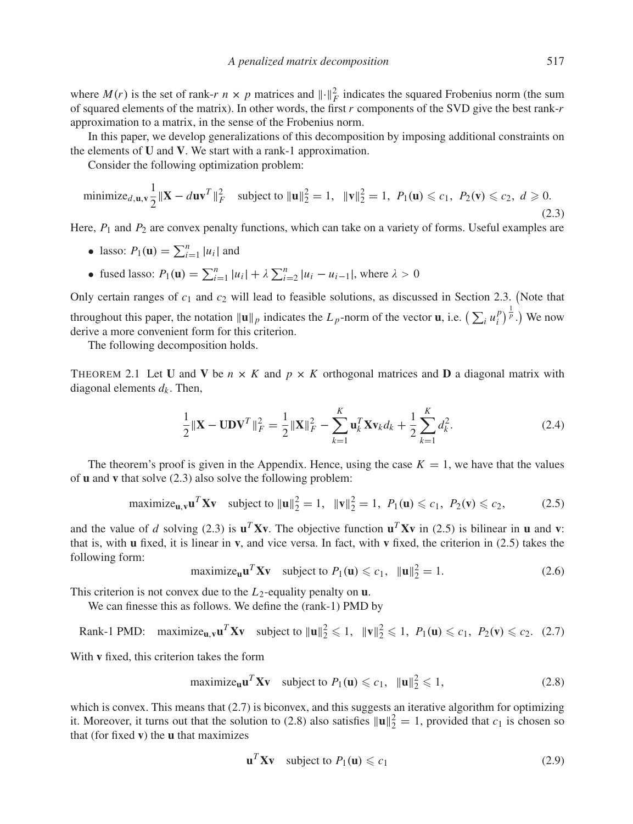where  $M(r)$  is the set of rank-*r*  $n \times p$  matrices and  $\|\cdot\|_F^2$  indicates the squared Frobenius norm (the sum of squared elements of the matrix). In other words, the first *r* components of the SVD give the best rank-*r* approximation to a matrix, in the sense of the Frobenius norm.

In this paper, we develop generalizations of this decomposition by imposing additional constraints on the elements of **U** and **V**. We start with a rank-1 approximation.

Consider the following optimization problem:

minimize<sub>d, u, v</sub> 
$$
\frac{1}{2} \|\mathbf{X} - d\mathbf{u}\mathbf{v}^T\|_F^2
$$
 subject to  $\|\mathbf{u}\|_2^2 = 1$ ,  $\|\mathbf{v}\|_2^2 = 1$ ,  $P_1(\mathbf{u}) \le c_1$ ,  $P_2(\mathbf{v}) \le c_2$ ,  $d \ge 0$ . (2.3)

Here,  $P_1$  and  $P_2$  are convex penalty functions, which can take on a variety of forms. Useful examples are

- lasso:  $P_1(\mathbf{u}) = \sum_{i=1}^n |u_i|$  and
- fused lasso:  $P_1(\mathbf{u}) = \sum_{i=1}^n |u_i| + \lambda \sum_{i=2}^n |u_i u_{i-1}|$ , where  $\lambda > 0$

Only certain ranges of  $c_1$  and  $c_2$  will lead to feasible solutions, as discussed in Section 2.3. (Note that throughout this paper, the notation  $\|\mathbf{u}\|_p$  indicates the  $L_p$ -norm of the vector **u**, i.e.  $\left(\sum_i u_i^p\right)^{\frac{1}{p}}$ .) We now derive a more convenient form for this criterion.

The following decomposition holds.

THEOREM 2.1 Let **U** and **V** be  $n \times K$  and  $p \times K$  orthogonal matrices and **D** a diagonal matrix with diagonal elements  $d_k$ . Then,

$$
\frac{1}{2} \|\mathbf{X} - \mathbf{U} \mathbf{D} \mathbf{V}^T\|_F^2 = \frac{1}{2} \|\mathbf{X}\|_F^2 - \sum_{k=1}^K \mathbf{u}_k^T \mathbf{X} \mathbf{v}_k d_k + \frac{1}{2} \sum_{k=1}^K d_k^2.
$$
 (2.4)

The theorem's proof is given in the Appendix. Hence, using the case  $K = 1$ , we have that the values of **u** and **v** that solve (2.3) also solve the following problem:

maximize<sub>**u**</sub>**vu**<sup>*T*</sup>**Xv** subject to 
$$
\|\mathbf{u}\|_2^2 = 1
$$
,  $\|\mathbf{v}\|_2^2 = 1$ ,  $P_1(\mathbf{u}) \le c_1$ ,  $P_2(\mathbf{v}) \le c_2$ , (2.5)

and the value of *d* solving (2.3) is  $\mathbf{u}^T \mathbf{X} \mathbf{v}$ . The objective function  $\mathbf{u}^T \mathbf{X} \mathbf{v}$  in (2.5) is bilinear in **u** and **v**: that is, with **u** fixed, it is linear in **v**, and vice versa. In fact, with **v** fixed, the criterion in (2.5) takes the following form:

$$
\text{maximize}_{\mathbf{u}} \mathbf{u}^T \mathbf{X} \mathbf{v} \quad \text{subject to } P_1(\mathbf{u}) \leq c_1, \quad \|\mathbf{u}\|_2^2 = 1. \tag{2.6}
$$

This criterion is not convex due to the  $L_2$ -equality penalty on  $\mathbf{u}$ .

We can finesse this as follows. We define the (rank-1) PMD by

Rank-1 PMD: maximize<sub>u,v</sub>u<sup>T</sup> **Xv** subject to  $||\mathbf{u}||_2^2 \le 1$ ,  $||\mathbf{v}||_2^2 \le 1$ ,  $P_1(\mathbf{u}) \le c_1$ ,  $P_2(\mathbf{v}) \le c_2$ . (2.7)

With **v** fixed, this criterion takes the form

$$
\text{maximize}_{\mathbf{u}} \mathbf{u}^T \mathbf{X} \mathbf{v} \quad \text{subject to } P_1(\mathbf{u}) \leq c_1, \quad \|\mathbf{u}\|_2^2 \leq 1,\tag{2.8}
$$

which is convex. This means that  $(2.7)$  is biconvex, and this suggests an iterative algorithm for optimizing it. Moreover, it turns out that the solution to (2.8) also satisfies  $\|\mathbf{u}\|_2^2 = 1$ , provided that  $c_1$  is chosen so that (for fixed **v**) the **u** that maximizes

$$
\mathbf{u}^T \mathbf{X} \mathbf{v} \quad \text{subject to } P_1(\mathbf{u}) \leqslant c_1 \tag{2.9}
$$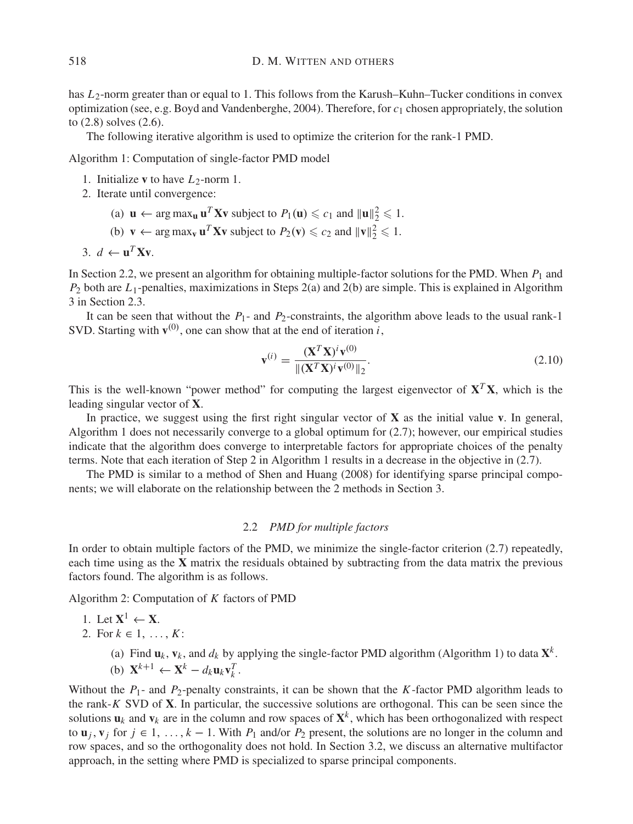has *L*2-norm greater than or equal to 1. This follows from the Karush–Kuhn–Tucker conditions in convex optimization (see, e.g. Boyd and Vandenberghe, 2004). Therefore, for *c*<sup>1</sup> chosen appropriately, the solution to (2.8) solves (2.6).

The following iterative algorithm is used to optimize the criterion for the rank-1 PMD.

Algorithm 1: Computation of single-factor PMD model

- 1. Initialize **v** to have  $L_2$ -norm 1.
- 2. Iterate until convergence:
	- (a)  $\mathbf{u} \leftarrow \arg \max_{\mathbf{u}} \mathbf{u}^T \mathbf{X} \mathbf{v}$  subject to  $P_1(\mathbf{u}) \leq c_1$  and  $\|\mathbf{u}\|_2^2 \leq 1$ .
	- (b)  $\mathbf{v} \leftarrow \arg \max_{\mathbf{v}} \mathbf{u}^T \mathbf{X} \mathbf{v}$  subject to  $P_2(\mathbf{v}) \leq c_2$  and  $\|\mathbf{v}\|_2^2 \leq 1$ .
- 3.  $d \leftarrow \mathbf{u}^T \mathbf{X} \mathbf{v}$ .

In Section 2.2, we present an algorithm for obtaining multiple-factor solutions for the PMD. When  $P_1$  and *P*<sup>2</sup> both are *L*1-penalties, maximizations in Steps 2(a) and 2(b) are simple. This is explained in Algorithm 3 in Section 2.3.

It can be seen that without the *P*1- and *P*2-constraints, the algorithm above leads to the usual rank-1 SVD. Starting with  $\mathbf{v}^{(0)}$ , one can show that at the end of iteration *i*,

$$
\mathbf{v}^{(i)} = \frac{(\mathbf{X}^T \mathbf{X})^i \mathbf{v}^{(0)}}{\|(\mathbf{X}^T \mathbf{X})^i \mathbf{v}^{(0)}\|_2}.
$$
\n(2.10)

This is the well-known "power method" for computing the largest eigenvector of  $X^T X$ , which is the leading singular vector of **X**.

In practice, we suggest using the first right singular vector of **X** as the initial value **v**. In general, Algorithm 1 does not necessarily converge to a global optimum for (2.7); however, our empirical studies indicate that the algorithm does converge to interpretable factors for appropriate choices of the penalty terms. Note that each iteration of Step 2 in Algorithm 1 results in a decrease in the objective in (2.7).

The PMD is similar to a method of Shen and Huang (2008) for identifying sparse principal components; we will elaborate on the relationship between the 2 methods in Section 3.

#### 2.2 *PMD for multiple factors*

In order to obtain multiple factors of the PMD, we minimize the single-factor criterion (2.7) repeatedly, each time using as the **X** matrix the residuals obtained by subtracting from the data matrix the previous factors found. The algorithm is as follows.

Algorithm 2: Computation of *K* factors of PMD

1. Let 
$$
\mathbf{X}^1 \leftarrow \mathbf{X}
$$
.

$$
2. \ \operatorname{For} k \in 1, \ \ldots, K:
$$

(a) Find  $\mathbf{u}_k$ ,  $\mathbf{v}_k$ , and  $d_k$  by applying the single-factor PMD algorithm (Algorithm 1) to data  $\mathbf{X}^k$ . (b)  $\mathbf{X}^{k+1} \leftarrow \mathbf{X}^k - d_k \mathbf{u}_k \mathbf{v}_k^T$ .

Without the *P*1- and *P*2-penalty constraints, it can be shown that the *K*-factor PMD algorithm leads to the rank-*K* SVD of **X**. In particular, the successive solutions are orthogonal. This can be seen since the solutions  $\mathbf{u}_k$  and  $\mathbf{v}_k$  are in the column and row spaces of  $\mathbf{X}^k$ , which has been orthogonalized with respect to **u**<sub>*j*</sub>, **v**<sub>*j*</sub> for *j* ∈ 1, ..., *k* − 1. With *P*<sub>1</sub> and/or *P*<sub>2</sub> present, the solutions are no longer in the column and row spaces, and so the orthogonality does not hold. In Section 3.2, we discuss an alternative multifactor approach, in the setting where PMD is specialized to sparse principal components.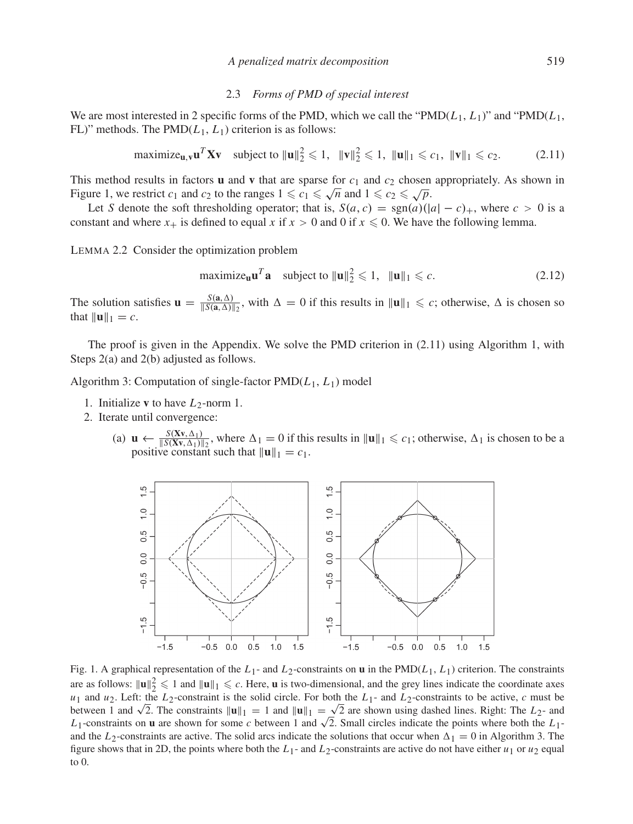#### 2.3 *Forms of PMD of special interest*

We are most interested in 2 specific forms of the PMD, which we call the "PMD(*L*1, *L*1)" and "PMD(*L*1, FL)" methods. The  $PMD(L_1, L_1)$  criterion is as follows:

$$
\text{maximize}_{\mathbf{u},\mathbf{v}} \mathbf{u}^T \mathbf{X} \mathbf{v} \quad \text{subject to } \|\mathbf{u}\|_2^2 \leqslant 1, \ \ \|\mathbf{v}\|_2^2 \leqslant 1, \ \ \|\mathbf{u}\|_1 \leqslant c_1, \ \ \|\mathbf{v}\|_1 \leqslant c_2. \tag{2.11}
$$

This method results in factors **u** and **v** that are sparse for *c*<sup>1</sup> and *c*<sup>2</sup> chosen appropriately. As shown in Figure 1, we restrict  $c_1$  and  $c_2$  to the ranges  $1 \leq c_1 \leq \sqrt{n}$  and  $1 \leq c_2 \leq \sqrt{p}$ .

Let *S* denote the soft thresholding operator; that is,  $S(a, c) = \text{sgn}(a)(|a| - c)_{+}$ , where  $c > 0$  is a constant and where  $x_+$  is defined to equal x if  $x > 0$  and 0 if  $x \le 0$ . We have the following lemma.

LEMMA 2.2 Consider the optimization problem

$$
\text{maximize}_{\mathbf{u}} \mathbf{u}^T \mathbf{a} \quad \text{subject to } \|\mathbf{u}\|_2^2 \leq 1, \quad \|\mathbf{u}\|_1 \leq c. \tag{2.12}
$$

The solution satisfies  $\mathbf{u} = \frac{S(\mathbf{a}, \Delta)}{\|S(\mathbf{a}, \Delta)\|_2}$ , with  $\Delta = 0$  if this results in  $\|\mathbf{u}\|_1 \leq c$ ; otherwise,  $\Delta$  is chosen so that  $||u||_1 = c$ .

The proof is given in the Appendix. We solve the PMD criterion in (2.11) using Algorithm 1, with Steps 2(a) and 2(b) adjusted as follows.

Algorithm 3: Computation of single-factor PMD(*L*1, *L*1) model

- 1. Initialize **v** to have  $L_2$ -norm 1.
- 2. Iterate until convergence:
	- (a)  $\mathbf{u} \leftarrow \frac{S(\mathbf{X}\mathbf{v}, \Delta_1)}{\|S(\mathbf{X}\mathbf{v}, \Delta_1)\|_2}$ , where  $\Delta_1 = 0$  if this results in  $\|\mathbf{u}\|_1 \leq c_1$ ; otherwise,  $\Delta_1$  is chosen to be a positive constant such that  $||\mathbf{u}||_1 = c_1$ .



Fig. 1. A graphical representation of the  $L_1$ - and  $L_2$ -constraints on **u** in the PMD( $L_1, L_1$ ) criterion. The constraints are as follows:  $\|\mathbf{u}\|_2 \le 1$  and  $\|\mathbf{u}\|_1 \le c$ . Here, **u** is two-dimensional, and the grey lines indicate the coordinate axes  $u_1$  and  $u_2$ . Left: the *L*<sub>2</sub>-constraint is the solid circle. For both the *L*<sub>1</sub>- and *L*<sub>2</sub>-constraints to be active, *c* must be between 1 and  $\sqrt{2}$ . The constraints  $\|\mathbf{u}\|_1 = 1$  and  $\|\mathbf{u}\|_1 = \sqrt{2}$  are shown using dashed lines. Right: The *L*<sub>2</sub>- and between 1 and  $\sqrt{2}$ . The constraints  $\|\mathbf{u}\|_1 = 1$  and  $\|\mathbf{u}\|_1 = \sqrt{2}$  are shown us *L*<sub>1</sub>-constraints on **u** are shown for some *c* between 1 and  $\sqrt{2}$ . Small circles indicate the points where both the *L*<sub>1</sub>-*L*<sub>1</sub>-constraints on **u** are shown for some *c* between 1 and  $\sqrt{2}$ . Small circles indicat and the  $L_2$ -constraints are active. The solid arcs indicate the solutions that occur when  $\Delta_1 = 0$  in Algorithm 3. The figure shows that in 2D, the points where both the  $L_1$ - and  $L_2$ -constraints are active do not have either  $u_1$  or  $u_2$  equal to 0.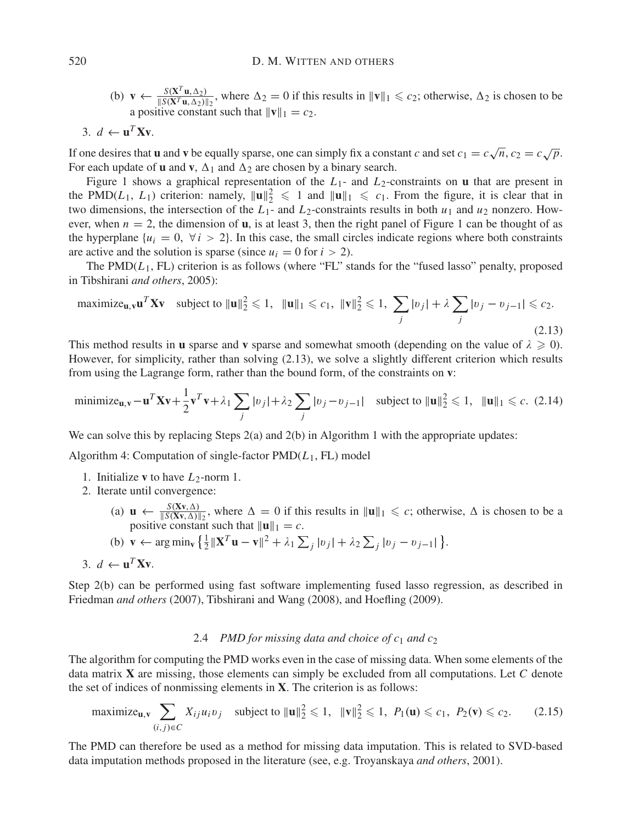(b)  $\mathbf{v} \leftarrow \frac{S(\mathbf{X}^T \mathbf{u}, \Delta_2)}{\|\mathcal{S}(\mathbf{X}^T \mathbf{u}, \Delta_2)\|_2}$ , where  $\Delta_2 = 0$  if this results in  $\|\mathbf{v}\|_1 \leq c_2$ ; otherwise,  $\Delta_2$  is chosen to be a positive constant such that  $\|\mathbf{v}\|_1 = c_2$ .

$$
3. d \leftarrow \mathbf{u}^T \mathbf{X} \mathbf{v}.
$$

If one desires that **u** and **v** be equally sparse, one can simply fix a constant *c* and set  $c_1 = c\sqrt{n}$ ,  $c_2 = c\sqrt{p}$ . For each update of **u** and **v**,  $\Delta_1$  and  $\Delta_2$  are chosen by a binary search.

Figure 1 shows a graphical representation of the  $L_1$ - and  $L_2$ -constraints on **u** that are present in the PMD( $L_1$ ,  $L_1$ ) criterion: namely,  $||\mathbf{u}||_2^2 \le 1$  and  $||\mathbf{u}||_1 \le c_1$ . From the figure, it is clear that in two dimensions, the intersection of the  $L_1$ - and  $L_2$ -constraints results in both  $u_1$  and  $u_2$  nonzero. However, when  $n = 2$ , the dimension of **u**, is at least 3, then the right panel of Figure 1 can be thought of as the hyperplane  $\{u_i = 0, \forall i > 2\}$ . In this case, the small circles indicate regions where both constraints are active and the solution is sparse (since  $u_i = 0$  for  $i > 2$ ).

The  $PMD(L_1, FL)$  criterion is as follows (where "FL" stands for the "fused lasso" penalty, proposed in Tibshirani *and others*, 2005):

$$
\text{maximize}_{\mathbf{u},\mathbf{v}} \mathbf{u}^T \mathbf{X} \mathbf{v} \quad \text{subject to } \|\mathbf{u}\|_2^2 \leq 1, \ \ \|\mathbf{u}\|_1 \leq c_1, \ \|\mathbf{v}\|_2^2 \leq 1, \ \ \sum_j |v_j| + \lambda \sum_j |v_j - v_{j-1}| \leq c_2. \tag{2.13}
$$

This method results in **u** sparse and **v** sparse and somewhat smooth (depending on the value of  $\lambda \geq 0$ ). However, for simplicity, rather than solving (2.13), we solve a slightly different criterion which results from using the Lagrange form, rather than the bound form, of the constraints on **v**:

$$
\text{minimize}_{\mathbf{u}, \mathbf{v}} - \mathbf{u}^T \mathbf{X} \mathbf{v} + \frac{1}{2} \mathbf{v}^T \mathbf{v} + \lambda_1 \sum_j |v_j| + \lambda_2 \sum_j |v_j - v_{j-1}| \quad \text{subject to } \|\mathbf{u}\|_2^2 \leqslant 1, \quad \|\mathbf{u}\|_1 \leqslant c. \tag{2.14}
$$

We can solve this by replacing Steps 2(a) and 2(b) in Algorithm 1 with the appropriate updates:

Algorithm 4: Computation of single-factor PMD(*L*1, FL) model

- 1. Initialize **v** to have  $L_2$ -norm 1.
- 2. Iterate until convergence:
	- (a)  $\mathbf{u} \leftarrow \frac{S(\mathbf{X}\mathbf{v}, \Delta)}{\|S(\mathbf{X}\mathbf{v}, \Delta)\|_2}$ , where  $\Delta = 0$  if this results in  $\|\mathbf{u}\|_1 \leq c$ ; otherwise,  $\Delta$  is chosen to be a positive constant such that  $\|\mathbf{u}\|_1 = c$ .

(b) 
$$
\mathbf{v} \leftarrow \arg\min_{\mathbf{v}} \left\{ \frac{1}{2} ||\mathbf{X}^T \mathbf{u} - \mathbf{v}||^2 + \lambda_1 \sum_j |v_j| + \lambda_2 \sum_j |v_j - v_{j-1}| \right\}.
$$

$$
3. d \leftarrow \mathbf{u}^T \mathbf{X} \mathbf{v}.
$$

Step 2(b) can be performed using fast software implementing fused lasso regression, as described in Friedman *and others* (2007), Tibshirani and Wang (2008), and Hoefling (2009).

## 2.4 *PMD for missing data and choice of c*<sup>1</sup> *and c*<sup>2</sup>

The algorithm for computing the PMD works even in the case of missing data. When some elements of the data matrix **X** are missing, those elements can simply be excluded from all computations. Let *C* denote the set of indices of nonmissing elements in **X**. The criterion is as follows:

maximize<sub>**u**,**v**</sub> 
$$
\sum_{(i,j)\in C} X_{ij} u_i v_j
$$
 subject to  $\|\mathbf{u}\|_2^2 \le 1$ ,  $\|\mathbf{v}\|_2^2 \le 1$ ,  $P_1(\mathbf{u}) \le c_1$ ,  $P_2(\mathbf{v}) \le c_2$ . (2.15)

The PMD can therefore be used as a method for missing data imputation. This is related to SVD-based data imputation methods proposed in the literature (see, e.g. Troyanskaya *and others*, 2001).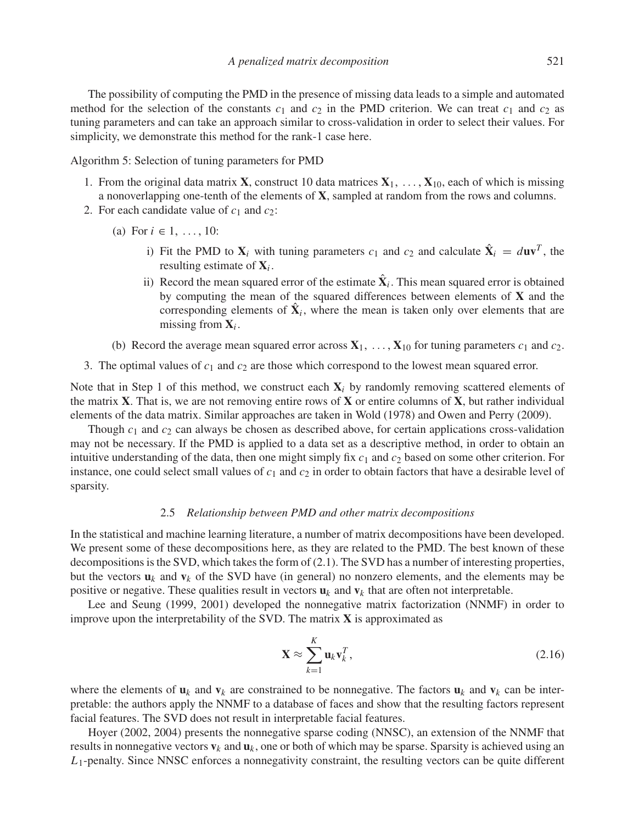The possibility of computing the PMD in the presence of missing data leads to a simple and automated method for the selection of the constants  $c_1$  and  $c_2$  in the PMD criterion. We can treat  $c_1$  and  $c_2$  as tuning parameters and can take an approach similar to cross-validation in order to select their values. For simplicity, we demonstrate this method for the rank-1 case here.

Algorithm 5: Selection of tuning parameters for PMD

- 1. From the original data matrix **X**, construct 10 data matrices  $X_1, \ldots, X_{10}$ , each of which is missing a nonoverlapping one-tenth of the elements of **X**, sampled at random from the rows and columns.
- 2. For each candidate value of  $c_1$  and  $c_2$ :
	- (a) For  $i \in 1, \ldots, 10$ :
		- i) Fit the PMD to  $\mathbf{X}_i$  with tuning parameters  $c_1$  and  $c_2$  and calculate  $\hat{\mathbf{X}}_i = d\mathbf{u}\mathbf{v}^T$ , the resulting estimate of **X***<sup>i</sup>* .
		- ii) Record the mean squared error of the estimate  $\dot{\mathbf{X}}_i$ . This mean squared error is obtained by computing the mean of the squared differences between elements of **X** and the corresponding elements of  $X_i$ , where the mean is taken only over elements that are missing from  $X_i$ .
	- (b) Record the average mean squared error across  $\mathbf{X}_1, \ldots, \mathbf{X}_{10}$  for tuning parameters  $c_1$  and  $c_2$ .
- 3. The optimal values of *c*<sup>1</sup> and *c*<sup>2</sup> are those which correspond to the lowest mean squared error.

Note that in Step 1 of this method, we construct each  $X_i$  by randomly removing scattered elements of the matrix **X**. That is, we are not removing entire rows of **X** or entire columns of **X**, but rather individual elements of the data matrix. Similar approaches are taken in Wold (1978) and Owen and Perry (2009).

Though  $c_1$  and  $c_2$  can always be chosen as described above, for certain applications cross-validation may not be necessary. If the PMD is applied to a data set as a descriptive method, in order to obtain an intuitive understanding of the data, then one might simply fix  $c_1$  and  $c_2$  based on some other criterion. For instance, one could select small values of  $c_1$  and  $c_2$  in order to obtain factors that have a desirable level of sparsity.

# 2.5 *Relationship between PMD and other matrix decompositions*

In the statistical and machine learning literature, a number of matrix decompositions have been developed. We present some of these decompositions here, as they are related to the PMD. The best known of these decompositions is the SVD, which takes the form of (2.1). The SVD has a number of interesting properties, but the vectors  $\mathbf{u}_k$  and  $\mathbf{v}_k$  of the SVD have (in general) no nonzero elements, and the elements may be positive or negative. These qualities result in vectors  $\mathbf{u}_k$  and  $\mathbf{v}_k$  that are often not interpretable.

Lee and Seung (1999, 2001) developed the nonnegative matrix factorization (NNMF) in order to improve upon the interpretability of the SVD. The matrix **X** is approximated as

$$
\mathbf{X} \approx \sum_{k=1}^{K} \mathbf{u}_k \mathbf{v}_k^T,
$$
 (2.16)

where the elements of  $\mathbf{u}_k$  and  $\mathbf{v}_k$  are constrained to be nonnegative. The factors  $\mathbf{u}_k$  and  $\mathbf{v}_k$  can be interpretable: the authors apply the NNMF to a database of faces and show that the resulting factors represent facial features. The SVD does not result in interpretable facial features.

Hoyer (2002, 2004) presents the nonnegative sparse coding (NNSC), an extension of the NNMF that results in nonnegative vectors  $\mathbf{v}_k$  and  $\mathbf{u}_k$ , one or both of which may be sparse. Sparsity is achieved using an *L*1-penalty. Since NNSC enforces a nonnegativity constraint, the resulting vectors can be quite different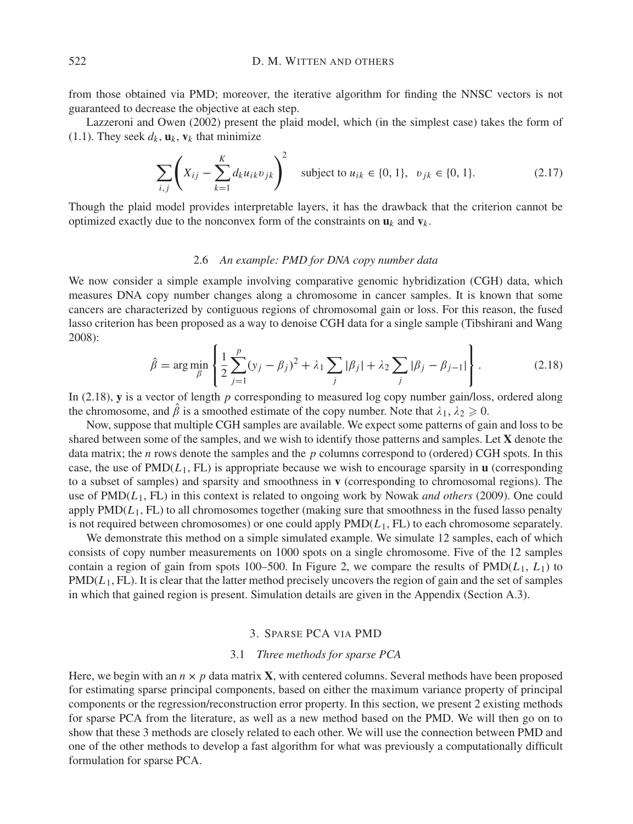from those obtained via PMD; moreover, the iterative algorithm for finding the NNSC vectors is not guaranteed to decrease the objective at each step.

Lazzeroni and Owen (2002) present the plaid model, which (in the simplest case) takes the form of (1.1). They seek  $d_k$ ,  $\mathbf{u}_k$ ,  $\mathbf{v}_k$  that minimize

$$
\sum_{i,j} \left( X_{ij} - \sum_{k=1}^{K} d_k u_{ik} v_{jk} \right)^2 \quad \text{subject to } u_{ik} \in \{0, 1\}, \quad v_{jk} \in \{0, 1\}. \tag{2.17}
$$

Though the plaid model provides interpretable layers, it has the drawback that the criterion cannot be optimized exactly due to the nonconvex form of the constraints on  $\mathbf{u}_k$  and  $\mathbf{v}_k$ .

## 2.6 *An example: PMD for DNA copy number data*

We now consider a simple example involving comparative genomic hybridization (CGH) data, which measures DNA copy number changes along a chromosome in cancer samples. It is known that some cancers are characterized by contiguous regions of chromosomal gain or loss. For this reason, the fused lasso criterion has been proposed as a way to denoise CGH data for a single sample (Tibshirani and Wang 2008):

$$
\hat{\beta} = \arg \min_{\beta} \left\{ \frac{1}{2} \sum_{j=1}^{p} (y_j - \beta_j)^2 + \lambda_1 \sum_j |\beta_j| + \lambda_2 \sum_j |\beta_j - \beta_{j-1}| \right\}.
$$
 (2.18)

In (2.18), **y** is a vector of length *p* corresponding to measured log copy number gain/loss, ordered along the chromosome, and  $\beta$  is a smoothed estimate of the copy number. Note that  $\lambda_1, \lambda_2 \geq 0$ .

Now, suppose that multiple CGH samples are available. We expect some patterns of gain and loss to be shared between some of the samples, and we wish to identify those patterns and samples. Let **X** denote the data matrix; the *n* rows denote the samples and the *p* columns correspond to (ordered) CGH spots. In this case, the use of  $PMD(L_1, FL)$  is appropriate because we wish to encourage sparsity in **u** (corresponding to a subset of samples) and sparsity and smoothness in **v** (corresponding to chromosomal regions). The use of PMD(*L*1, FL) in this context is related to ongoing work by Nowak *and others* (2009). One could apply  $PMD(L<sub>1</sub>, FL)$  to all chromosomes together (making sure that smoothness in the fused lasso penalty is not required between chromosomes) or one could apply  $PMD(L_1, FL)$  to each chromosome separately.

We demonstrate this method on a simple simulated example. We simulate 12 samples, each of which consists of copy number measurements on 1000 spots on a single chromosome. Five of the 12 samples contain a region of gain from spots 100–500. In Figure 2, we compare the results of  $PMD(L_1, L_1)$  to  $PMD(L_1, FL)$ . It is clear that the latter method precisely uncovers the region of gain and the set of samples in which that gained region is present. Simulation details are given in the Appendix (Section A.3).

## 3. SPARSE PCA VIA PMD

# 3.1 *Three methods for sparse PCA*

Here, we begin with an  $n \times p$  data matrix **X**, with centered columns. Several methods have been proposed for estimating sparse principal components, based on either the maximum variance property of principal components or the regression/reconstruction error property. In this section, we present 2 existing methods for sparse PCA from the literature, as well as a new method based on the PMD. We will then go on to show that these 3 methods are closely related to each other. We will use the connection between PMD and one of the other methods to develop a fast algorithm for what was previously a computationally difficult formulation for sparse PCA.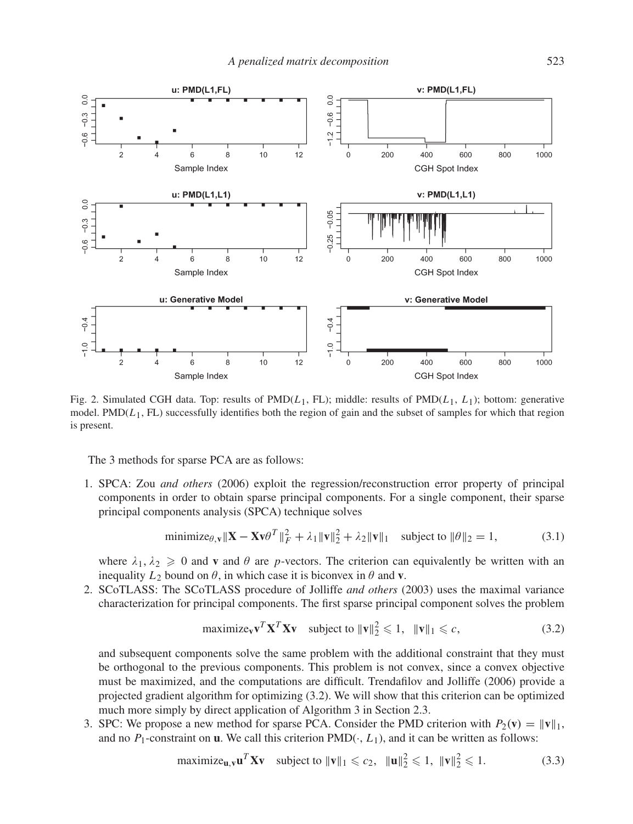

Fig. 2. Simulated CGH data. Top: results of PMD(*L*1, FL); middle: results of PMD(*L*1, *L*1); bottom: generative model. PMD $(L_1, FL)$  successfully identifies both the region of gain and the subset of samples for which that region is present.

The 3 methods for sparse PCA are as follows:

1. SPCA: Zou *and others* (2006) exploit the regression/reconstruction error property of principal components in order to obtain sparse principal components. For a single component, their sparse principal components analysis (SPCA) technique solves

minimize<sub>$$
\theta
$$</sub><sub>**v**</sub>  $\|\mathbf{X} - \mathbf{X}\mathbf{v}\theta^T\|_F^2 + \lambda_1 \|\mathbf{v}\|_2^2 + \lambda_2 \|\mathbf{v}\|_1$  subject to  $\|\theta\|_2 = 1$ , (3.1)

where  $\lambda_1, \lambda_2 \geq 0$  and **v** and  $\theta$  are *p*-vectors. The criterion can equivalently be written with an inequality  $L_2$  bound on  $\theta$ , in which case it is biconvex in  $\theta$  and **v**.

2. SCoTLASS: The SCoTLASS procedure of Jolliffe *and others* (2003) uses the maximal variance characterization for principal components. The first sparse principal component solves the problem

$$
\text{maximize}_{\mathbf{v}} \mathbf{v}^T \mathbf{X}^T \mathbf{X} \mathbf{v} \quad \text{subject to } \|\mathbf{v}\|_2^2 \leq 1, \quad \|\mathbf{v}\|_1 \leq c,
$$
\n
$$
(3.2)
$$

and subsequent components solve the same problem with the additional constraint that they must be orthogonal to the previous components. This problem is not convex, since a convex objective must be maximized, and the computations are difficult. Trendafilov and Jolliffe (2006) provide a projected gradient algorithm for optimizing (3.2). We will show that this criterion can be optimized much more simply by direct application of Algorithm 3 in Section 2.3.

3. SPC: We propose a new method for sparse PCA. Consider the PMD criterion with  $P_2(\mathbf{v}) = ||\mathbf{v}||_1$ , and no  $P_1$ -constraint on **u**. We call this criterion  $PMD(\cdot, L_1)$ , and it can be written as follows:

$$
\text{maximize}_{\mathbf{u}, \mathbf{v}} \mathbf{u}^T \mathbf{X} \mathbf{v} \quad \text{subject to } \|\mathbf{v}\|_1 \leq c_2, \quad \|\mathbf{u}\|_2^2 \leq 1, \quad \|\mathbf{v}\|_2^2 \leq 1. \tag{3.3}
$$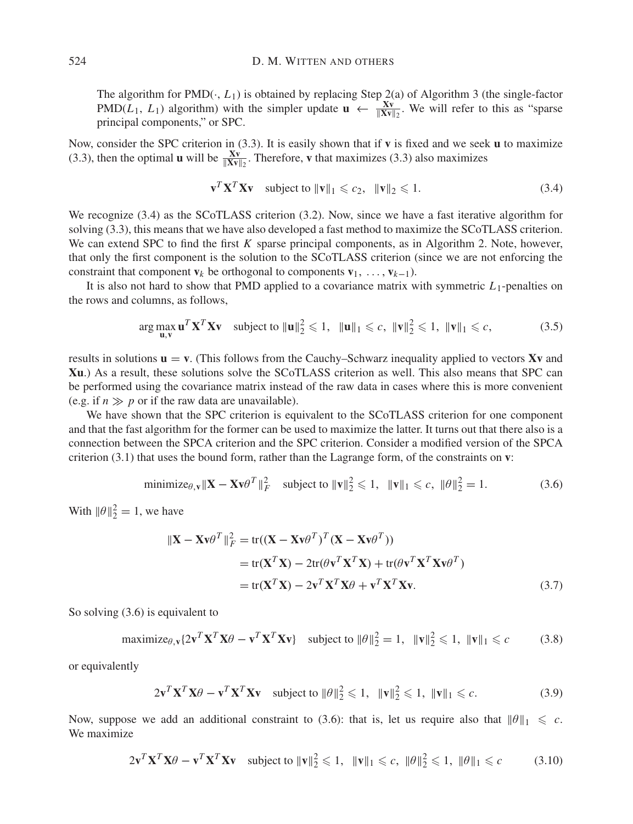The algorithm for  $PMD(\cdot, L_1)$  is obtained by replacing Step 2(a) of Algorithm 3 (the single-factor  $\text{PMD}(L_1, L_1)$  algorithm) with the simpler update  $\mathbf{u} \leftarrow \frac{\mathbf{X}\mathbf{v}}{\|\mathbf{X}\mathbf{v}\|_2}$ . We will refer to this as "sparse principal components," or SPC.

Now, consider the SPC criterion in (3.3). It is easily shown that if **v** is fixed and we seek **u** to maximize (3.3), then the optimal **u** will be  $\frac{\mathbf{X}\mathbf{v}}{\|\mathbf{X}\mathbf{v}\|_2}$ . Therefore, **v** that maximizes (3.3) also maximizes

$$
\mathbf{v}^T \mathbf{X}^T \mathbf{X} \mathbf{v} \quad \text{subject to } \|\mathbf{v}\|_1 \leqslant c_2, \quad \|\mathbf{v}\|_2 \leqslant 1. \tag{3.4}
$$

We recognize (3.4) as the SCoTLASS criterion (3.2). Now, since we have a fast iterative algorithm for solving (3.3), this means that we have also developed a fast method to maximize the SCoTLASS criterion. We can extend SPC to find the first *K* sparse principal components, as in Algorithm 2. Note, however, that only the first component is the solution to the SCoTLASS criterion (since we are not enforcing the constraint that component  $\mathbf{v}_k$  be orthogonal to components  $\mathbf{v}_1, \ldots, \mathbf{v}_{k-1}$ ).

It is also not hard to show that PMD applied to a covariance matrix with symmetric *L*1-penalties on the rows and columns, as follows,

$$
\underset{\mathbf{u},\mathbf{v}}{\arg\max} \mathbf{u}^T \mathbf{X}^T \mathbf{X} \mathbf{v} \quad \text{subject to } \|\mathbf{u}\|_2^2 \leq 1, \quad \|\mathbf{u}\|_1 \leq c, \quad \|\mathbf{v}\|_2^2 \leq 1, \quad \|\mathbf{v}\|_1 \leq c, \tag{3.5}
$$

results in solutions  $\mathbf{u} = \mathbf{v}$ . (This follows from the Cauchy–Schwarz inequality applied to vectors  $\mathbf{\bar{X}}\mathbf{v}$  and **Xu**.) As a result, these solutions solve the SCoTLASS criterion as well. This also means that SPC can be performed using the covariance matrix instead of the raw data in cases where this is more convenient (e.g. if  $n \gg p$  or if the raw data are unavailable).

We have shown that the SPC criterion is equivalent to the SCoTLASS criterion for one component and that the fast algorithm for the former can be used to maximize the latter. It turns out that there also is a connection between the SPCA criterion and the SPC criterion. Consider a modified version of the SPCA criterion (3.1) that uses the bound form, rather than the Lagrange form, of the constraints on **v**:

$$
\text{minimize}_{\theta, \mathbf{v}} \|\mathbf{X} - \mathbf{X} \mathbf{v} \theta^T\|_F^2 \quad \text{subject to } \|\mathbf{v}\|_2^2 \leq 1, \quad \|\mathbf{v}\|_1 \leq c, \quad \|\theta\|_2^2 = 1. \tag{3.6}
$$

With  $\|\theta\|_2^2 = 1$ , we have

$$
\|\mathbf{X} - \mathbf{X}\mathbf{v}\theta^T\|_F^2 = \text{tr}((\mathbf{X} - \mathbf{X}\mathbf{v}\theta^T)^T(\mathbf{X} - \mathbf{X}\mathbf{v}\theta^T))
$$
  
=  $\text{tr}(\mathbf{X}^T\mathbf{X}) - 2\text{tr}(\theta\mathbf{v}^T\mathbf{X}^T\mathbf{X}) + \text{tr}(\theta\mathbf{v}^T\mathbf{X}^T\mathbf{X}\mathbf{v}\theta^T)$   
=  $\text{tr}(\mathbf{X}^T\mathbf{X}) - 2\mathbf{v}^T\mathbf{X}^T\mathbf{X}\theta + \mathbf{v}^T\mathbf{X}^T\mathbf{X}\mathbf{v}.$  (3.7)

So solving (3.6) is equivalent to

$$
\text{maximize}_{\theta, \mathbf{v}} \{ 2\mathbf{v}^T \mathbf{X}^T \mathbf{X} \theta - \mathbf{v}^T \mathbf{X}^T \mathbf{X} \mathbf{v} \} \quad \text{subject to } \|\theta\|_2^2 = 1, \ \|\mathbf{v}\|_2^2 \le 1, \ \|\mathbf{v}\|_1 \le c \tag{3.8}
$$

or equivalently

$$
2\mathbf{v}^T \mathbf{X}^T \mathbf{X} \theta - \mathbf{v}^T \mathbf{X}^T \mathbf{X} \mathbf{v} \quad \text{subject to } \|\theta\|_2^2 \leq 1, \ \|\mathbf{v}\|_2^2 \leq 1, \ \|\mathbf{v}\|_1 \leq c. \tag{3.9}
$$

Now, suppose we add an additional constraint to (3.6): that is, let us require also that  $\|\theta\|_1 \leq c$ . We maximize

$$
2\mathbf{v}^T \mathbf{X}^T \mathbf{X} \theta - \mathbf{v}^T \mathbf{X}^T \mathbf{X} \mathbf{v} \quad \text{subject to } \|\mathbf{v}\|_2^2 \leq 1, \ \ \|\mathbf{v}\|_1 \leq c, \ \ \|\theta\|_2^2 \leq 1, \ \ \|\theta\|_1 \leq c \tag{3.10}
$$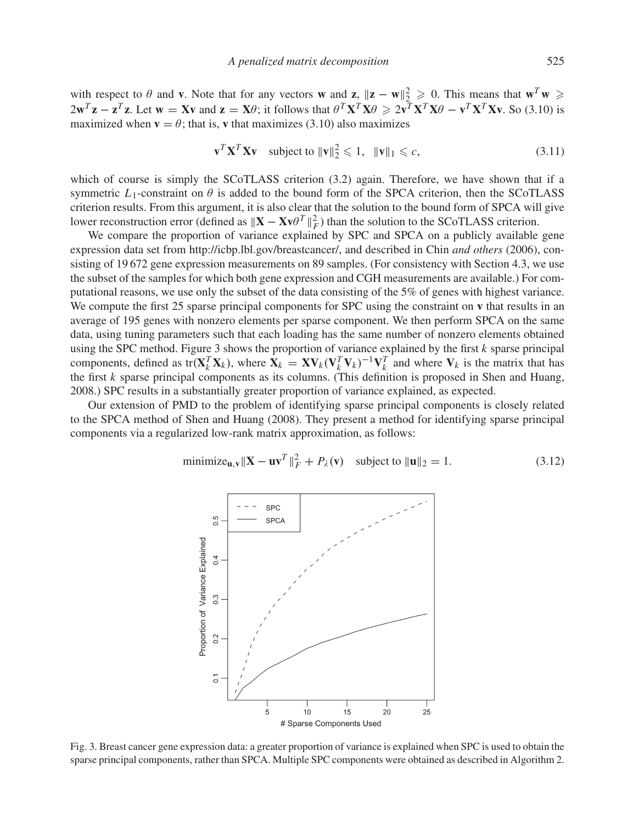with respect to  $\theta$  and **v**. Note that for any vectors **w** and **z**,  $\|\mathbf{z} - \mathbf{w}\|_2^2 \ge 0$ . This means that  $\mathbf{w}^T \mathbf{w} \ge 0$  $2\mathbf{w}^T\mathbf{z} - \mathbf{z}^T\mathbf{z}$ . Let  $\mathbf{w} = \mathbf{X}\mathbf{v}$  and  $\mathbf{z} = \mathbf{X}\theta$ ; it follows that  $\theta^T\mathbf{X}^T\mathbf{X}\theta \ge 2\mathbf{v}^T\mathbf{X}^T\mathbf{X}\theta - \mathbf{v}^T\mathbf{X}^T\mathbf{X}\mathbf{v}$ . So (3.10) is maximized when  $\mathbf{v} = \theta$ ; that is, **v** that maximizes (3.10) also maximizes

$$
\mathbf{v}^T \mathbf{X}^T \mathbf{X} \mathbf{v} \quad \text{subject to} \quad \|\mathbf{v}\|_2^2 \leq 1, \quad \|\mathbf{v}\|_1 \leq c,\tag{3.11}
$$

which of course is simply the SCoTLASS criterion (3.2) again. Therefore, we have shown that if a symmetric  $L_1$ -constraint on  $\theta$  is added to the bound form of the SPCA criterion, then the SCoTLASS criterion results. From this argument, it is also clear that the solution to the bound form of SPCA will give lower reconstruction error (defined as  $\|\mathbf{X} - \mathbf{X}\mathbf{v}\theta^T\|_F^2$ ) than the solution to the SCoTLASS criterion.

We compare the proportion of variance explained by SPC and SPCA on a publicly available gene expression data set from http://icbp.lbl.gov/breastcancer/, and described in Chin *and others* (2006), consisting of 19 672 gene expression measurements on 89 samples. (For consistency with Section 4.3, we use the subset of the samples for which both gene expression and CGH measurements are available.) For computational reasons, we use only the subset of the data consisting of the 5% of genes with highest variance. We compute the first 25 sparse principal components for SPC using the constraint on **v** that results in an average of 195 genes with nonzero elements per sparse component. We then perform SPCA on the same data, using tuning parameters such that each loading has the same number of nonzero elements obtained using the SPC method. Figure 3 shows the proportion of variance explained by the first *k* sparse principal components, defined as tr( $X_k^T X_k$ ), where  $X_k = X V_k (V_k^T V_k)^{-1} V_k^T$  and where  $V_k$  is the matrix that has the first *k* sparse principal components as its columns. (This definition is proposed in Shen and Huang, 2008.) SPC results in a substantially greater proportion of variance explained, as expected.

Our extension of PMD to the problem of identifying sparse principal components is closely related to the SPCA method of Shen and Huang (2008). They present a method for identifying sparse principal components via a regularized low-rank matrix approximation, as follows:

$$
\text{minimize}_{\mathbf{u}, \mathbf{v}} \|\mathbf{X} - \mathbf{u}\mathbf{v}^T\|_F^2 + P_\lambda(\mathbf{v}) \quad \text{subject to } \|\mathbf{u}\|_2 = 1. \tag{3.12}
$$



Fig. 3. Breast cancer gene expression data: a greater proportion of variance is explained when SPC is used to obtain the sparse principal components, rather than SPCA. Multiple SPC components were obtained as described in Algorithm 2.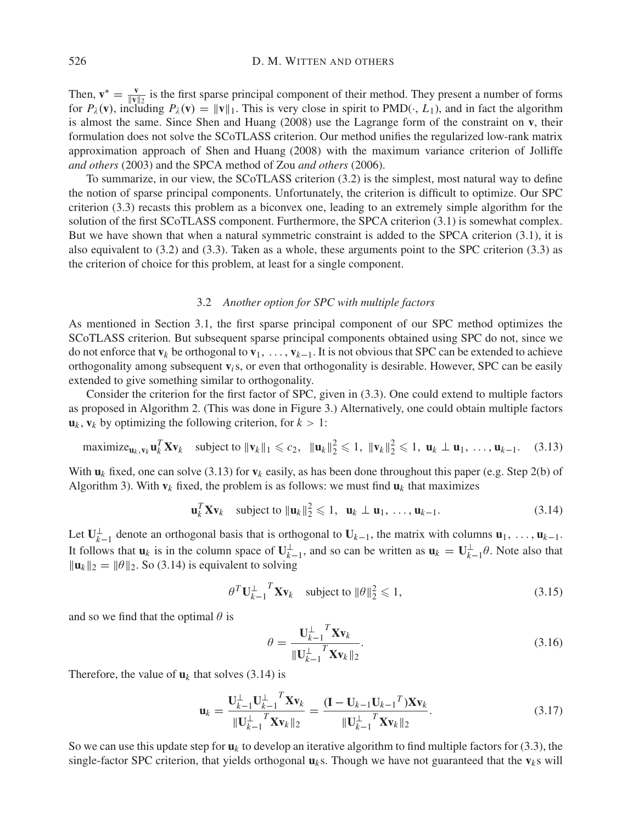Then,  $\mathbf{v}^* = \frac{\mathbf{v}}{\|\mathbf{v}\|_2}$  is the first sparse principal component of their method. They present a number of forms for  $P_\lambda(\mathbf{v})$ , including  $P_\lambda(\mathbf{v}) = \|\mathbf{v}\|_1$ . This is very close in spirit to PMD( $\cdot$ , *L*<sub>1</sub>), and in fact the algorithm is almost the same. Since Shen and Huang (2008) use the Lagrange form of the constraint on **v**, their formulation does not solve the SCoTLASS criterion. Our method unifies the regularized low-rank matrix approximation approach of Shen and Huang (2008) with the maximum variance criterion of Jolliffe *and others* (2003) and the SPCA method of Zou *and others* (2006).

To summarize, in our view, the SCoTLASS criterion (3.2) is the simplest, most natural way to define the notion of sparse principal components. Unfortunately, the criterion is difficult to optimize. Our SPC criterion (3.3) recasts this problem as a biconvex one, leading to an extremely simple algorithm for the solution of the first SCoTLASS component. Furthermore, the SPCA criterion (3.1) is somewhat complex. But we have shown that when a natural symmetric constraint is added to the SPCA criterion (3.1), it is also equivalent to (3.2) and (3.3). Taken as a whole, these arguments point to the SPC criterion (3.3) as the criterion of choice for this problem, at least for a single component.

#### 3.2 *Another option for SPC with multiple factors*

As mentioned in Section 3.1, the first sparse principal component of our SPC method optimizes the SCoTLASS criterion. But subsequent sparse principal components obtained using SPC do not, since we do not enforce that  $\mathbf{v}_k$  be orthogonal to  $\mathbf{v}_1, \ldots, \mathbf{v}_{k-1}$ . It is not obvious that SPC can be extended to achieve orthogonality among subsequent  $\mathbf{v}_i$ s, or even that orthogonality is desirable. However, SPC can be easily extended to give something similar to orthogonality.

Consider the criterion for the first factor of SPC, given in (3.3). One could extend to multiple factors as proposed in Algorithm 2. (This was done in Figure 3.) Alternatively, one could obtain multiple factors  $\mathbf{u}_k$ ,  $\mathbf{v}_k$  by optimizing the following criterion, for  $k > 1$ :

$$
\text{maximize}_{\mathbf{u}_k, \mathbf{v}_k} \mathbf{u}_k^T \mathbf{X} \mathbf{v}_k \quad \text{subject to } \|\mathbf{v}_k\|_1 \leq c_2, \quad \|\mathbf{u}_k\|_2^2 \leq 1, \quad \|\mathbf{v}_k\|_2^2 \leq 1, \quad \mathbf{u}_k \perp \mathbf{u}_1, \dots, \mathbf{u}_{k-1}. \tag{3.13}
$$

With  $\mathbf{u}_k$  fixed, one can solve (3.13) for  $\mathbf{v}_k$  easily, as has been done throughout this paper (e.g. Step 2(b) of Algorithm 3). With  $\mathbf{v}_k$  fixed, the problem is as follows: we must find  $\mathbf{u}_k$  that maximizes

$$
\mathbf{u}_k^T \mathbf{X} \mathbf{v}_k \quad \text{subject to } \|\mathbf{u}_k\|_2^2 \leqslant 1, \quad \mathbf{u}_k \perp \mathbf{u}_1, \quad \dots, \mathbf{u}_{k-1}. \tag{3.14}
$$

Let  $\mathbf{U}_{k-1}^{\perp}$  denote an orthogonal basis that is orthogonal to  $\mathbf{U}_{k-1}$ , the matrix with columns  $\mathbf{u}_1, \ldots, \mathbf{u}_{k-1}$ . It follows that  $\mathbf{u}_k$  is in the column space of  $\mathbf{U}_{k-1}^{\perp}$ , and so can be written as  $\mathbf{u}_k = \mathbf{U}_{k-1}^{\perp} \theta$ . Note also that  $\|\mathbf{u}_k\|_2 = \|\theta\|_2$ . So (3.14) is equivalent to solving

$$
\theta^T \mathbf{U}_{k-1}^{\perp T} \mathbf{X} \mathbf{v}_k \quad \text{subject to } \|\theta\|_2^2 \leq 1,\tag{3.15}
$$

and so we find that the optimal  $\theta$  is

$$
\theta = \frac{\mathbf{U}_{k-1}^{\perp}^T \mathbf{X} \mathbf{v}_k}{\|\mathbf{U}_{k-1}^{\perp}^T \mathbf{X} \mathbf{v}_k\|_2}.
$$
\n(3.16)

Therefore, the value of  $\mathbf{u}_k$  that solves (3.14) is

$$
\mathbf{u}_{k} = \frac{\mathbf{U}_{k-1}^{\perp} \mathbf{U}_{k-1}^{\perp}^{T} \mathbf{X} \mathbf{v}_{k}}{\|\mathbf{U}_{k-1}^{\perp} \mathbf{X} \mathbf{v}_{k}\|_{2}} = \frac{(\mathbf{I} - \mathbf{U}_{k-1} \mathbf{U}_{k-1}^{T}) \mathbf{X} \mathbf{v}_{k}}{\|\mathbf{U}_{k-1}^{\perp} \mathbf{X} \mathbf{v}_{k}\|_{2}}.
$$
(3.17)

So we can use this update step for **u***<sup>k</sup>* to develop an iterative algorithm to find multiple factors for (3.3), the single-factor SPC criterion, that yields orthogonal  $\mathbf{u}_k$ s. Though we have not guaranteed that the  $\mathbf{v}_k$ s will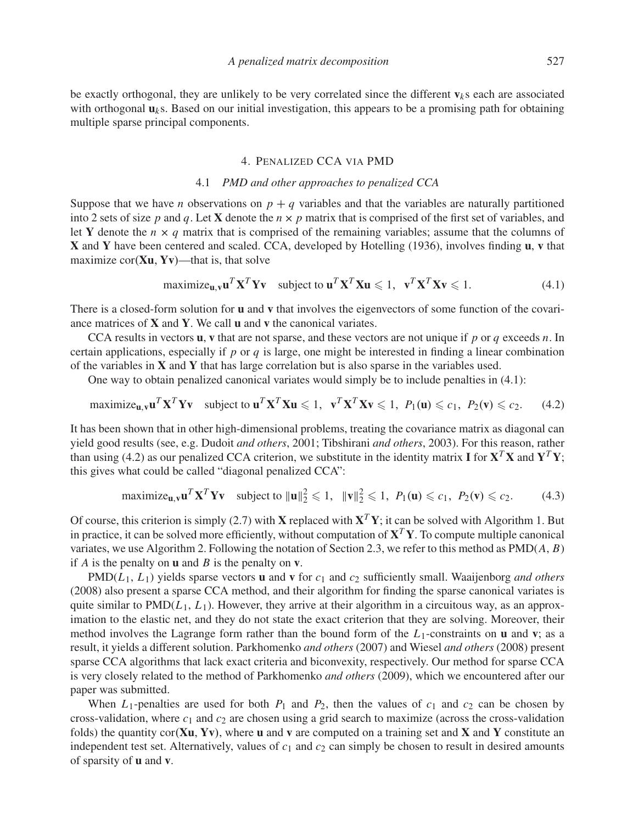be exactly orthogonal, they are unlikely to be very correlated since the different  $\mathbf{v}_k$  s each are associated with orthogonal  $\mathbf{u}_k$ s. Based on our initial investigation, this appears to be a promising path for obtaining multiple sparse principal components.

## 4. PENALIZED CCA VIA PMD

## 4.1 *PMD and other approaches to penalized CCA*

Suppose that we have *n* observations on  $p + q$  variables and that the variables are naturally partitioned into 2 sets of size *p* and *q*. Let **X** denote the *n* × *p* matrix that is comprised of the first set of variables, and let **Y** denote the  $n \times q$  matrix that is comprised of the remaining variables; assume that the columns of **X** and **Y** have been centered and scaled. CCA, developed by Hotelling (1936), involves finding **u**, **v** that maximize cor(**Xu**, **Yv**)—that is, that solve

$$
\text{maximize}_{\mathbf{u},\mathbf{v}} \mathbf{u}^T \mathbf{X}^T \mathbf{Y} \mathbf{v} \quad \text{subject to } \mathbf{u}^T \mathbf{X}^T \mathbf{X} \mathbf{u} \leqslant 1, \quad \mathbf{v}^T \mathbf{X}^T \mathbf{X} \mathbf{v} \leqslant 1. \tag{4.1}
$$

There is a closed-form solution for **u** and **v** that involves the eigenvectors of some function of the covariance matrices of **X** and **Y**. We call **u** and **v** the canonical variates.

CCA results in vectors **u**, **v** that are not sparse, and these vectors are not unique if *p* or *q* exceeds *n*. In certain applications, especially if  $p$  or  $q$  is large, one might be interested in finding a linear combination of the variables in **X** and **Y** that has large correlation but is also sparse in the variables used.

One way to obtain penalized canonical variates would simply be to include penalties in (4.1):

$$
\text{maximize}_{\mathbf{u},\mathbf{v}} \mathbf{u}^T \mathbf{X}^T \mathbf{Y} \mathbf{v} \quad \text{subject to } \mathbf{u}^T \mathbf{X}^T \mathbf{X} \mathbf{u} \leqslant 1, \quad \mathbf{v}^T \mathbf{X}^T \mathbf{X} \mathbf{v} \leqslant 1, \quad P_1(\mathbf{u}) \leqslant c_1, \quad P_2(\mathbf{v}) \leqslant c_2. \tag{4.2}
$$

It has been shown that in other high-dimensional problems, treating the covariance matrix as diagonal can yield good results (see, e.g. Dudoit *and others*, 2001; Tibshirani *and others*, 2003). For this reason, rather than using (4.2) as our penalized CCA criterion, we substitute in the identity matrix **I** for  $X^T X$  and  $Y^T Y$ ; this gives what could be called "diagonal penalized CCA":

$$
\text{maximize}_{\mathbf{u},\mathbf{v}} \mathbf{u}^T \mathbf{X}^T \mathbf{Y} \mathbf{v} \quad \text{subject to } \|\mathbf{u}\|_2^2 \leqslant 1, \ \ \|\mathbf{v}\|_2^2 \leqslant 1, \ \ P_1(\mathbf{u}) \leqslant c_1, \ \ P_2(\mathbf{v}) \leqslant c_2. \tag{4.3}
$$

Of course, this criterion is simply (2.7) with **X** replaced with  $X^T Y$ ; it can be solved with Algorithm 1. But in practice, it can be solved more efficiently, without computation of  $X^T Y$ . To compute multiple canonical variates, we use Algorithm 2. Following the notation of Section 2.3, we refer to this method as PMD(*A*, *B*) if *A* is the penalty on **u** and *B* is the penalty on **v**.

PMD(*L*1, *L*1) yields sparse vectors **u** and **v** for *c*<sup>1</sup> and *c*<sup>2</sup> sufficiently small. Waaijenborg *and others* (2008) also present a sparse CCA method, and their algorithm for finding the sparse canonical variates is quite similar to  $PMD(L_1, L_1)$ . However, they arrive at their algorithm in a circuitous way, as an approximation to the elastic net, and they do not state the exact criterion that they are solving. Moreover, their method involves the Lagrange form rather than the bound form of the *L*1-constraints on **u** and **v**; as a result, it yields a different solution. Parkhomenko *and others* (2007) and Wiesel *and others* (2008) present sparse CCA algorithms that lack exact criteria and biconvexity, respectively. Our method for sparse CCA is very closely related to the method of Parkhomenko *and others* (2009), which we encountered after our paper was submitted.

When  $L_1$ -penalties are used for both  $P_1$  and  $P_2$ , then the values of  $c_1$  and  $c_2$  can be chosen by cross-validation, where *c*<sup>1</sup> and *c*<sup>2</sup> are chosen using a grid search to maximize (across the cross-validation folds) the quantity cor( $\mathbf{Xu}$ ,  $\mathbf{Yv}$ ), where **u** and **v** are computed on a training set and  $\mathbf{X}$  and  $\mathbf{Y}$  constitute an independent test set. Alternatively, values of  $c_1$  and  $c_2$  can simply be chosen to result in desired amounts of sparsity of **u** and **v**.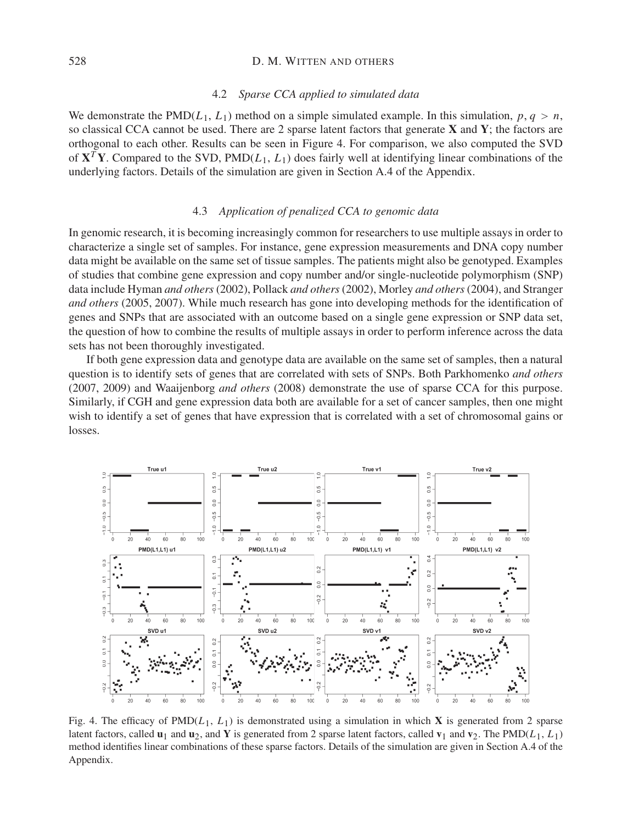#### 4.2 *Sparse CCA applied to simulated data*

We demonstrate the  $PMD(L_1, L_1)$  method on a simple simulated example. In this simulation,  $p, q > n$ , so classical CCA cannot be used. There are 2 sparse latent factors that generate **X** and **Y**; the factors are orthogonal to each other. Results can be seen in Figure 4. For comparison, we also computed the SVD of  $X^T Y$ . Compared to the SVD, PMD( $L_1, L_1$ ) does fairly well at identifying linear combinations of the underlying factors. Details of the simulation are given in Section A.4 of the Appendix.

#### 4.3 *Application of penalized CCA to genomic data*

In genomic research, it is becoming increasingly common for researchers to use multiple assays in order to characterize a single set of samples. For instance, gene expression measurements and DNA copy number data might be available on the same set of tissue samples. The patients might also be genotyped. Examples of studies that combine gene expression and copy number and/or single-nucleotide polymorphism (SNP) data include Hyman *and others* (2002), Pollack *and others* (2002), Morley *and others* (2004), and Stranger *and others* (2005, 2007). While much research has gone into developing methods for the identification of genes and SNPs that are associated with an outcome based on a single gene expression or SNP data set, the question of how to combine the results of multiple assays in order to perform inference across the data sets has not been thoroughly investigated.

If both gene expression data and genotype data are available on the same set of samples, then a natural question is to identify sets of genes that are correlated with sets of SNPs. Both Parkhomenko *and others* (2007, 2009) and Waaijenborg *and others* (2008) demonstrate the use of sparse CCA for this purpose. Similarly, if CGH and gene expression data both are available for a set of cancer samples, then one might wish to identify a set of genes that have expression that is correlated with a set of chromosomal gains or losses.



Fig. 4. The efficacy of  $PMD(L_1, L_1)$  is demonstrated using a simulation in which **X** is generated from 2 sparse latent factors, called  $\mathbf{u}_1$  and  $\mathbf{u}_2$ , and Y is generated from 2 sparse latent factors, called  $\mathbf{v}_1$  and  $\mathbf{v}_2$ . The PMD( $L_1, L_1$ ) method identifies linear combinations of these sparse factors. Details of the simulation are given in Section A.4 of the Appendix.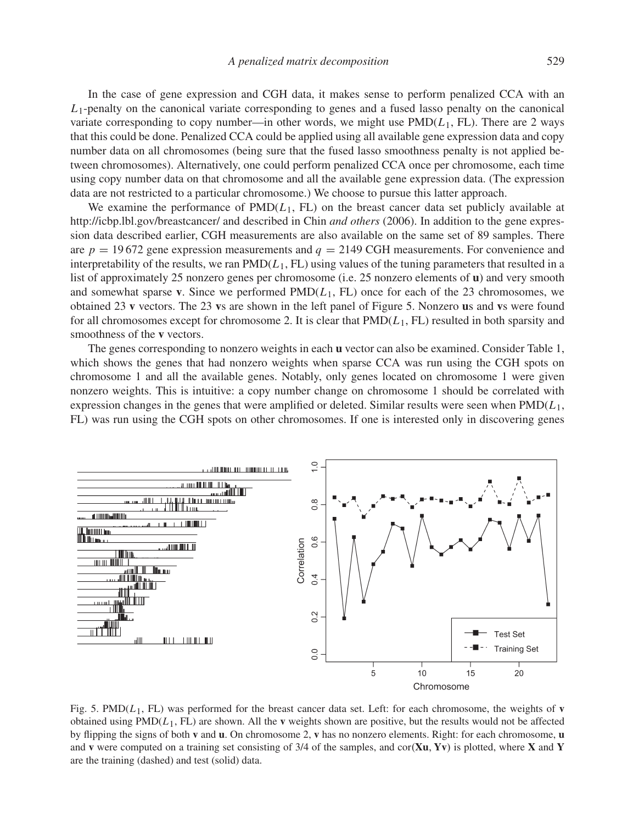In the case of gene expression and CGH data, it makes sense to perform penalized CCA with an  $L_1$ -penalty on the canonical variate corresponding to genes and a fused lasso penalty on the canonical variate corresponding to copy number—in other words, we might use  $PMD(L_1, FL)$ . There are 2 ways that this could be done. Penalized CCA could be applied using all available gene expression data and copy number data on all chromosomes (being sure that the fused lasso smoothness penalty is not applied between chromosomes). Alternatively, one could perform penalized CCA once per chromosome, each time using copy number data on that chromosome and all the available gene expression data. (The expression data are not restricted to a particular chromosome.) We choose to pursue this latter approach.

We examine the performance of  $PMD(L_1, FL)$  on the breast cancer data set publicly available at http://icbp.lbl.gov/breastcancer/ and described in Chin *and others* (2006). In addition to the gene expression data described earlier, CGH measurements are also available on the same set of 89 samples. There are  $p = 19672$  gene expression measurements and  $q = 2149$  CGH measurements. For convenience and interpretability of the results, we ran  $PMD(L_1, FL)$  using values of the tuning parameters that resulted in a list of approximately 25 nonzero genes per chromosome (i.e. 25 nonzero elements of **u**) and very smooth and somewhat sparse **v**. Since we performed  $PMD(L_1, FL)$  once for each of the 23 chromosomes, we obtained 23 **v** vectors. The 23 **v**s are shown in the left panel of Figure 5. Nonzero **u**s and **v**s were found for all chromosomes except for chromosome 2. It is clear that PMD(*L*1, FL) resulted in both sparsity and smoothness of the **v** vectors.

The genes corresponding to nonzero weights in each **u** vector can also be examined. Consider Table 1, which shows the genes that had nonzero weights when sparse CCA was run using the CGH spots on chromosome 1 and all the available genes. Notably, only genes located on chromosome 1 were given nonzero weights. This is intuitive: a copy number change on chromosome 1 should be correlated with expression changes in the genes that were amplified or deleted. Similar results were seen when PMD(*L*1, FL) was run using the CGH spots on other chromosomes. If one is interested only in discovering genes



Fig. 5.  $PMD(L_1, FL)$  was performed for the breast cancer data set. Left: for each chromosome, the weights of **v** obtained using  $PMD(L_1, FL)$  are shown. All the **v** weights shown are positive, but the results would not be affected by flipping the signs of both **v** and **u**. On chromosome 2, **v** has no nonzero elements. Right: for each chromosome, **u** and **v** were computed on a training set consisting of 3/4 of the samples, and cor(**Xu**, **Yv**) is plotted, where **X** and **Y** are the training (dashed) and test (solid) data.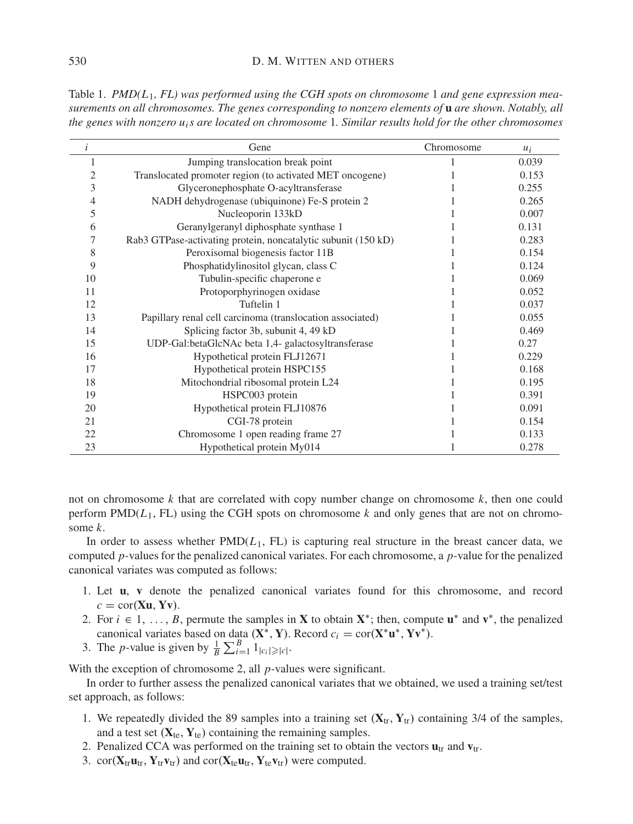Table 1. *PMD(L*1*, FL) was performed using the CGH spots on chromosome* 1 *and gene expression measurements on all chromosomes. The genes corresponding to nonzero elements of* **u** *are shown. Notably, all the genes with nonzero uis are located on chromosome* 1*. Similar results hold for the other chromosomes*

| $\dot{i}$ | Gene                                                          | Chromosome | $u_i$ |
|-----------|---------------------------------------------------------------|------------|-------|
| 1         | Jumping translocation break point                             |            | 0.039 |
| 2         | Translocated promoter region (to activated MET oncogene)      |            | 0.153 |
| 3         | Glyceronephosphate O-acyltransferase                          |            | 0.255 |
| 4         | NADH dehydrogenase (ubiquinone) Fe-S protein 2                |            | 0.265 |
| 5         | Nucleoporin 133kD                                             |            | 0.007 |
| 6         | Geranylgeranyl diphosphate synthase 1                         |            | 0.131 |
|           | Rab3 GTPase-activating protein, noncatalytic subunit (150 kD) |            | 0.283 |
| 8         | Peroxisomal biogenesis factor 11B                             |            | 0.154 |
| 9         | Phosphatidylinositol glycan, class C                          |            | 0.124 |
| 10        | Tubulin-specific chaperone e                                  |            | 0.069 |
| 11        | Protoporphyrinogen oxidase                                    |            | 0.052 |
| 12        | Tuftelin 1                                                    |            | 0.037 |
| 13        | Papillary renal cell carcinoma (translocation associated)     |            | 0.055 |
| 14        | Splicing factor 3b, subunit 4, 49 kD                          |            | 0.469 |
| 15        | UDP-Gal:betaGlcNAc beta 1,4- galactosyltransferase            |            | 0.27  |
| 16        | Hypothetical protein FLJ12671                                 |            | 0.229 |
| 17        | Hypothetical protein HSPC155                                  |            | 0.168 |
| 18        | Mitochondrial ribosomal protein L24                           |            | 0.195 |
| 19        | HSPC003 protein                                               |            | 0.391 |
| 20        | Hypothetical protein FLJ10876                                 |            | 0.091 |
| 2.1       | CGI-78 protein                                                |            | 0.154 |
| 22        | Chromosome 1 open reading frame 27                            |            | 0.133 |
| 23        | Hypothetical protein My014                                    |            | 0.278 |

not on chromosome *k* that are correlated with copy number change on chromosome *k*, then one could perform  $PMD(L<sub>1</sub>, FL)$  using the CGH spots on chromosome k and only genes that are not on chromosome *k*.

In order to assess whether  $PMD(L_1, FL)$  is capturing real structure in the breast cancer data, we computed *p*-values for the penalized canonical variates. For each chromosome, a *p*-value for the penalized canonical variates was computed as follows:

- 1. Let **u**, **v** denote the penalized canonical variates found for this chromosome, and record  $c = \text{cor}(\mathbf{Xu}, \mathbf{Yv}).$
- 2. For  $i \in 1, \ldots, B$ , permute the samples in **X** to obtain **X**<sup>\*</sup>; then, compute **u**<sup>\*</sup> and **v**<sup>\*</sup>, the penalized canonical variates based on data  $(\mathbf{X}^*, \mathbf{Y})$ . Record  $c_i = \text{cor}(\mathbf{X}^* \mathbf{u}^*, \mathbf{Y} \mathbf{v}^*)$ .
- 3. The *p*-value is given by  $\frac{1}{B} \sum_{i=1}^{B} 1_{|c_i| \geq |c|}$ .

With the exception of chromosome 2, all *p*-values were significant.

In order to further assess the penalized canonical variates that we obtained, we used a training set/test set approach, as follows:

- 1. We repeatedly divided the 89 samples into a training set  $(X_t, Y_t)$  containing 3/4 of the samples, and a test set  $(X_{te}, Y_{te})$  containing the remaining samples.
- 2. Penalized CCA was performed on the training set to obtain the vectors  $\mathbf{u}_{tr}$  and  $\mathbf{v}_{tr}$ .
- 3.  $\text{cor}(\mathbf{X}_{tr} \mathbf{u}_{tr}, \mathbf{Y}_{tr} \mathbf{v}_{tr})$  and  $\text{cor}(\mathbf{X}_{te} \mathbf{u}_{tr}, \mathbf{Y}_{te} \mathbf{v}_{tr})$  were computed.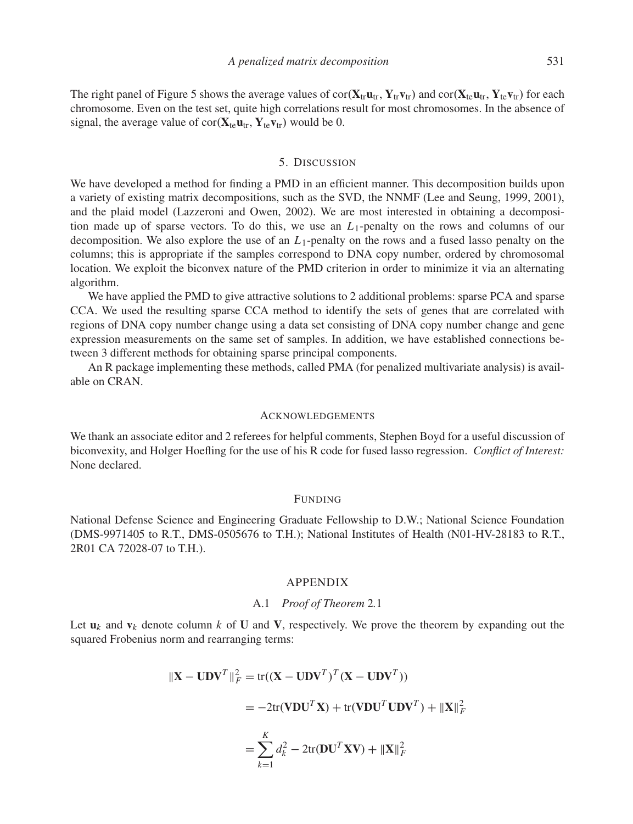The right panel of Figure 5 shows the average values of  $\text{cor}(\mathbf{X}_{tr} \mathbf{u}_{tr}, \mathbf{Y}_{tr} \mathbf{v}_{tr})$  and  $\text{cor}(\mathbf{X}_{te} \mathbf{u}_{tr}, \mathbf{Y}_{te} \mathbf{v}_{tr})$  for each chromosome. Even on the test set, quite high correlations result for most chromosomes. In the absence of signal, the average value of  $\text{cor}(\mathbf{X}_{te}\mathbf{u}_{tr}, \mathbf{Y}_{te}\mathbf{v}_{tr})$  would be 0.

#### 5. DISCUSSION

We have developed a method for finding a PMD in an efficient manner. This decomposition builds upon a variety of existing matrix decompositions, such as the SVD, the NNMF (Lee and Seung, 1999, 2001), and the plaid model (Lazzeroni and Owen, 2002). We are most interested in obtaining a decomposition made up of sparse vectors. To do this, we use an *L*1-penalty on the rows and columns of our decomposition. We also explore the use of an *L*1-penalty on the rows and a fused lasso penalty on the columns; this is appropriate if the samples correspond to DNA copy number, ordered by chromosomal location. We exploit the biconvex nature of the PMD criterion in order to minimize it via an alternating algorithm.

We have applied the PMD to give attractive solutions to 2 additional problems: sparse PCA and sparse CCA. We used the resulting sparse CCA method to identify the sets of genes that are correlated with regions of DNA copy number change using a data set consisting of DNA copy number change and gene expression measurements on the same set of samples. In addition, we have established connections between 3 different methods for obtaining sparse principal components.

An R package implementing these methods, called PMA (for penalized multivariate analysis) is available on CRAN.

#### ACKNOWLEDGEMENTS

We thank an associate editor and 2 referees for helpful comments, Stephen Boyd for a useful discussion of biconvexity, and Holger Hoefling for the use of his R code for fused lasso regression. *Conflict of Interest:* None declared.

#### FUNDING

National Defense Science and Engineering Graduate Fellowship to D.W.; National Science Foundation (DMS-9971405 to R.T., DMS-0505676 to T.H.); National Institutes of Health (N01-HV-28183 to R.T., 2R01 CA 72028-07 to T.H.).

#### APPENDIX

# A.1 *Proof of Theorem* 2*.*1

Let  $\mathbf{u}_k$  and  $\mathbf{v}_k$  denote column *k* of **U** and **V**, respectively. We prove the theorem by expanding out the squared Frobenius norm and rearranging terms:

$$
\begin{aligned} \|\mathbf{X} - \mathbf{U} \mathbf{D} \mathbf{V}^T\|_F^2 &= \text{tr}((\mathbf{X} - \mathbf{U} \mathbf{D} \mathbf{V}^T)^T (\mathbf{X} - \mathbf{U} \mathbf{D} \mathbf{V}^T)) \\ &= -2 \text{tr}(\mathbf{V} \mathbf{D} \mathbf{U}^T \mathbf{X}) + \text{tr}(\mathbf{V} \mathbf{D} \mathbf{U}^T \mathbf{U} \mathbf{D} \mathbf{V}^T) + \|\mathbf{X}\|_F^2 \\ &= \sum_{k=1}^K d_k^2 - 2 \text{tr}(\mathbf{D} \mathbf{U}^T \mathbf{X} \mathbf{V}) + \|\mathbf{X}\|_F^2 \end{aligned}
$$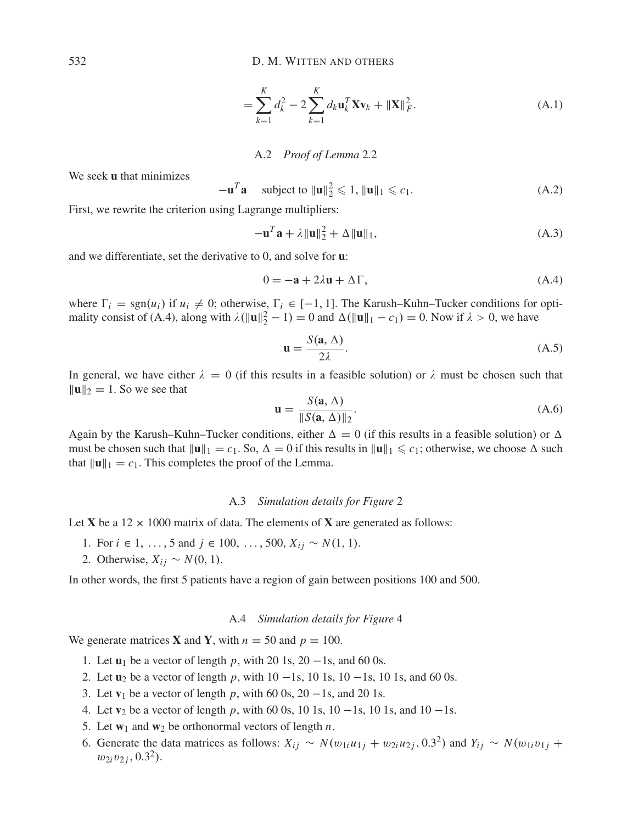$$
= \sum_{k=1}^{K} d_k^2 - 2 \sum_{k=1}^{K} d_k \mathbf{u}_k^T \mathbf{X} \mathbf{v}_k + ||\mathbf{X}||_F^2.
$$
 (A.1)

#### A.2 *Proof of Lemma* 2*.*2

We seek **u** that minimizes

$$
-\mathbf{u}^T \mathbf{a} \quad \text{subject to } \|\mathbf{u}\|_2^2 \leqslant 1, \|\mathbf{u}\|_1 \leqslant c_1. \tag{A.2}
$$

First, we rewrite the criterion using Lagrange multipliers:

$$
-\mathbf{u}^T \mathbf{a} + \lambda \|\mathbf{u}\|_2^2 + \Delta \|\mathbf{u}\|_1, \tag{A.3}
$$

and we differentiate, set the derivative to 0, and solve for **u**:

$$
0 = -\mathbf{a} + 2\lambda \mathbf{u} + \Delta \Gamma, \tag{A.4}
$$

where  $\Gamma_i = \text{sgn}(u_i)$  if  $u_i \neq 0$ ; otherwise,  $\Gamma_i \in [-1, 1]$ . The Karush–Kuhn–Tucker conditions for optimality consist of (A.4), along with  $\lambda(||\mathbf{u}||_2^2 - 1) = 0$  and  $\Delta(||\mathbf{u}||_1 - c_1) = 0$ . Now if  $\lambda > 0$ , we have

$$
\mathbf{u} = \frac{S(\mathbf{a}, \Delta)}{2\lambda}.
$$
 (A.5)

In general, we have either  $\lambda = 0$  (if this results in a feasible solution) or  $\lambda$  must be chosen such that  $\|\mathbf{u}\|_2 = 1$ . So we see that

$$
\mathbf{u} = \frac{S(\mathbf{a}, \Delta)}{\|S(\mathbf{a}, \Delta)\|_2}.
$$
 (A.6)

Again by the Karush–Kuhn–Tucker conditions, either  $\Delta = 0$  (if this results in a feasible solution) or  $\Delta$ must be chosen such that  $\|\mathbf{u}\|_1 = c_1$ . So,  $\Delta = 0$  if this results in  $\|\mathbf{u}\|_1 \leq c_1$ ; otherwise, we choose  $\Delta$  such that  $\|\mathbf{u}\|_1 = c_1$ . This completes the proof of the Lemma.

#### A.3 *Simulation details for Figure* 2

Let **X** be a  $12 \times 1000$  matrix of data. The elements of **X** are generated as follows:

- 1. For *i* ∈ 1, ..., 5 and *j* ∈ 100, ..., 500,  $X_{ij} \sim N(1, 1)$ .
- 2. Otherwise,  $X_{ij} \sim N(0, 1)$ .

In other words, the first 5 patients have a region of gain between positions 100 and 500.

# A.4 *Simulation details for Figure* 4

We generate matrices **X** and **Y**, with  $n = 50$  and  $p = 100$ .

- 1. Let **u**<sup>1</sup> be a vector of length *p*, with 20 1s, 20 −1s, and 60 0s.
- 2. Let **u**<sup>2</sup> be a vector of length *p*, with 10 −1s, 10 1s, 10 −1s, 10 1s, and 60 0s.
- 3. Let **v**<sup>1</sup> be a vector of length *p*, with 60 0s, 20 −1s, and 20 1s.
- 4. Let **v**<sup>2</sup> be a vector of length *p*, with 60 0s, 10 1s, 10 −1s, 10 1s, and 10 −1s.
- 5. Let  $w_1$  and  $w_2$  be orthonormal vectors of length *n*.
- 6. Generate the data matrices as follows:  $X_{ij} \sim N(w_{1i}u_{1j} + w_{2i}u_{2j}, 0.3^2)$  and  $Y_{ij} \sim N(w_{1i}v_{1j} + w_{2i}w_{2j})$  $w_{2i}v_{2j}$ , 0.3<sup>2</sup>).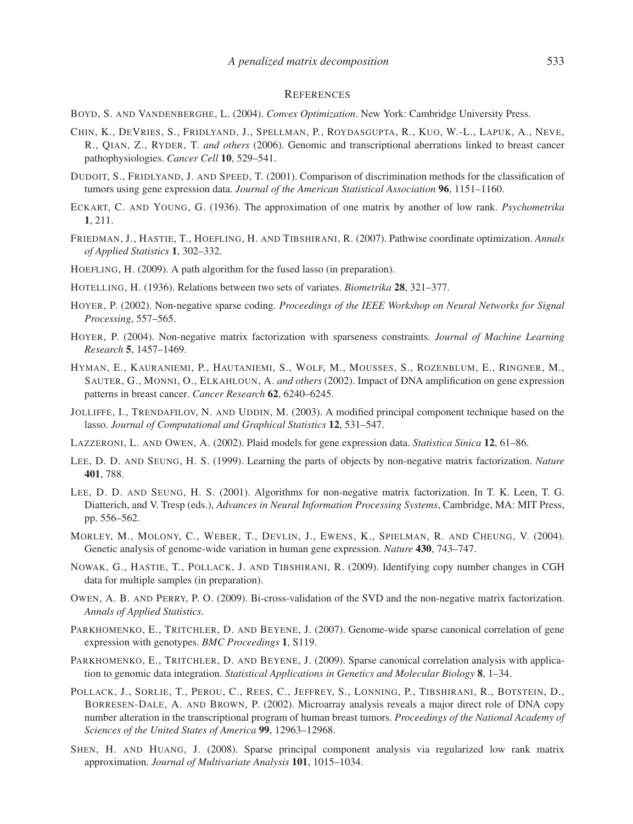#### **REFERENCES**

- BOYD, S. AND VANDENBERGHE, L. (2004). *Convex Optimization*. New York: Cambridge University Press.
- CHIN, K., DEVRIES, S., FRIDLYAND, J., SPELLMAN, P., ROYDASGUPTA, R., KUO, W.-L., LAPUK, A., NEVE, R., QIAN, Z., RYDER, T. *and others* (2006). Genomic and transcriptional aberrations linked to breast cancer pathophysiologies. *Cancer Cell* **10**, 529–541.
- DUDOIT, S., FRIDLYAND, J. AND SPEED, T. (2001). Comparison of discrimination methods for the classification of tumors using gene expression data. *Journal of the American Statistical Association* **96**, 1151–1160.
- ECKART, C. AND YOUNG, G. (1936). The approximation of one matrix by another of low rank. *Psychometrika* **1**, 211.
- FRIEDMAN, J., HASTIE, T., HOEFLING, H. AND TIBSHIRANI, R. (2007). Pathwise coordinate optimization. *Annals of Applied Statistics* **1**, 302–332.
- HOEFLING, H. (2009). A path algorithm for the fused lasso (in preparation).
- HOTELLING, H. (1936). Relations between two sets of variates. *Biometrika* **28**, 321–377.
- HOYER, P. (2002). Non-negative sparse coding. *Proceedings of the IEEE Workshop on Neural Networks for Signal Processing*, 557–565.
- HOYER, P. (2004). Non-negative matrix factorization with sparseness constraints. *Journal of Machine Learning Research* **5**, 1457–1469.
- HYMAN, E., KAURANIEMI, P., HAUTANIEMI, S., WOLF, M., MOUSSES, S., ROZENBLUM, E., RINGNER, M., SAUTER, G., MONNI, O., ELKAHLOUN, A. *and others* (2002). Impact of DNA amplification on gene expression patterns in breast cancer. *Cancer Research* **62**, 6240–6245.
- JOLLIFFE, I., TRENDAFILOV, N. AND UDDIN, M. (2003). A modified principal component technique based on the lasso. *Journal of Computational and Graphical Statistics* **12**, 531–547.
- LAZZERONI, L. AND OWEN, A. (2002). Plaid models for gene expression data. *Statistica Sinica* **12**, 61–86.
- LEE, D. D. AND SEUNG, H. S. (1999). Learning the parts of objects by non-negative matrix factorization. *Nature* **401**, 788.
- LEE, D. D. AND SEUNG, H. S. (2001). Algorithms for non-negative matrix factorization. In T. K. Leen, T. G. Diatterich, and V. Tresp (eds.), *Advances in Neural Information Processing Systems*, Cambridge, MA: MIT Press, pp. 556–562.
- MORLEY, M., MOLONY, C., WEBER, T., DEVLIN, J., EWENS, K., SPIELMAN, R. AND CHEUNG, V. (2004). Genetic analysis of genome-wide variation in human gene expression. *Nature* **430**, 743–747.
- NOWAK, G., HASTIE, T., POLLACK, J. AND TIBSHIRANI, R. (2009). Identifying copy number changes in CGH data for multiple samples (in preparation).
- OWEN, A. B. AND PERRY, P. O. (2009). Bi-cross-validation of the SVD and the non-negative matrix factorization. *Annals of Applied Statistics*.
- PARKHOMENKO, E., TRITCHLER, D. AND BEYENE, J. (2007). Genome-wide sparse canonical correlation of gene expression with genotypes. *BMC Proceedings* **1**, S119.
- PARKHOMENKO, E., TRITCHLER, D. AND BEYENE, J. (2009). Sparse canonical correlation analysis with application to genomic data integration. *Statistical Applications in Genetics and Molecular Biology* **8**, 1–34.
- POLLACK, J., SORLIE, T., PEROU, C., REES, C., JEFFREY, S., LONNING, P., TIBSHIRANI, R., BOTSTEIN, D., BORRESEN-DALE, A. AND BROWN, P. (2002). Microarray analysis reveals a major direct role of DNA copy number alteration in the transcriptional program of human breast tumors. *Proceedings of the National Academy of Sciences of the United States of America* **99**, 12963–12968.
- SHEN, H. AND HUANG, J. (2008). Sparse principal component analysis via regularized low rank matrix approximation. *Journal of Multivariate Analysis* **101**, 1015–1034.